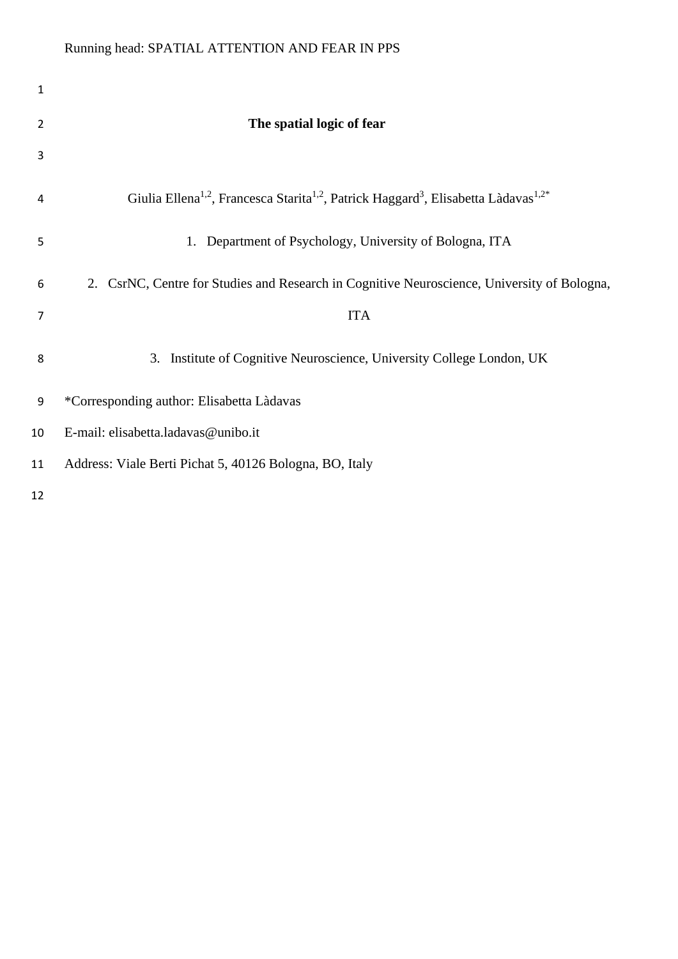| 1                |                                                                                                                                     |
|------------------|-------------------------------------------------------------------------------------------------------------------------------------|
| 2                | The spatial logic of fear                                                                                                           |
| 3                |                                                                                                                                     |
| 4                | Giulia Ellena <sup>1,2</sup> , Francesca Starita <sup>1,2</sup> , Patrick Haggard <sup>3</sup> , Elisabetta Làdavas <sup>1,2*</sup> |
| 5                | Department of Psychology, University of Bologna, ITA<br>1.                                                                          |
| 6                | 2. CsrNC, Centre for Studies and Research in Cognitive Neuroscience, University of Bologna,                                         |
| 7                | <b>ITA</b>                                                                                                                          |
| 8                | 3. Institute of Cognitive Neuroscience, University College London, UK                                                               |
| $\boldsymbol{9}$ | *Corresponding author: Elisabetta Làdavas                                                                                           |
| 10               | E-mail: elisabetta.ladavas@unibo.it                                                                                                 |
| 11               | Address: Viale Berti Pichat 5, 40126 Bologna, BO, Italy                                                                             |
| 12               |                                                                                                                                     |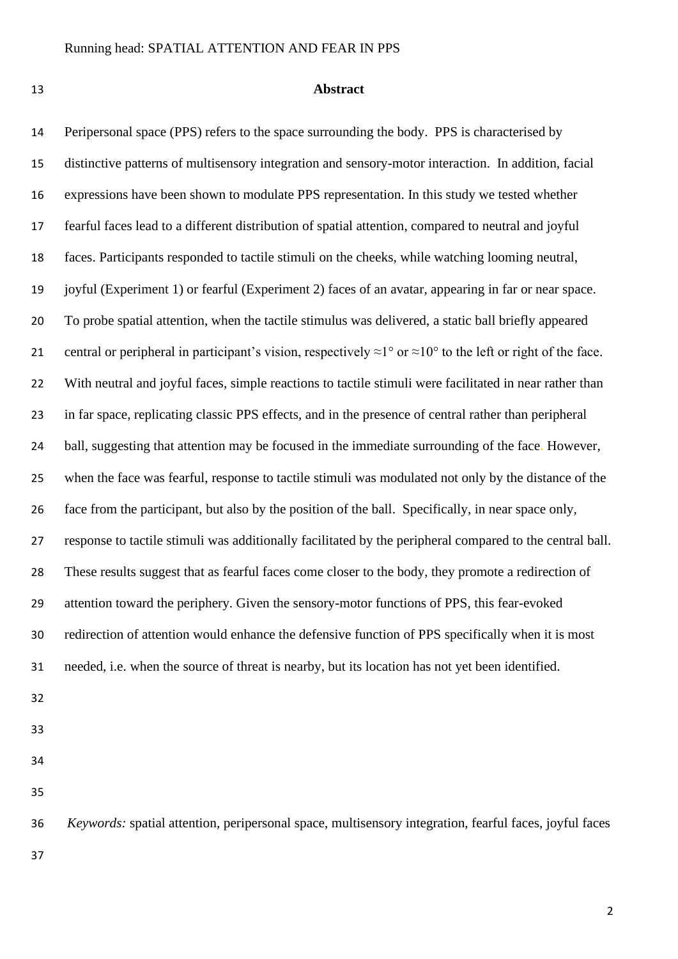#### **Abstract**

 Peripersonal space (PPS) refers to the space surrounding the body. PPS is characterised by distinctive patterns of multisensory integration and sensory-motor interaction. In addition, facial expressions have been shown to modulate PPS representation. In this study we tested whether fearful faces lead to a different distribution of spatial attention, compared to neutral and joyful faces. Participants responded to tactile stimuli on the cheeks, while watching looming neutral, joyful (Experiment 1) or fearful (Experiment 2) faces of an avatar, appearing in far or near space. To probe spatial attention, when the tactile stimulus was delivered, a static ball briefly appeared 21 central or peripheral in participant's vision, respectively  $\approx 1^{\circ}$  or  $\approx 10^{\circ}$  to the left or right of the face. 22 With neutral and joyful faces, simple reactions to tactile stimuli were facilitated in near rather than in far space, replicating classic PPS effects, and in the presence of central rather than peripheral 24 ball, suggesting that attention may be focused in the immediate surrounding of the face. However, when the face was fearful, response to tactile stimuli was modulated not only by the distance of the face from the participant, but also by the position of the ball. Specifically, in near space only, response to tactile stimuli was additionally facilitated by the peripheral compared to the central ball. These results suggest that as fearful faces come closer to the body, they promote a redirection of attention toward the periphery. Given the sensory-motor functions of PPS, this fear-evoked redirection of attention would enhance the defensive function of PPS specifically when it is most needed, i.e. when the source of threat is nearby, but its location has not yet been identified.

- 
- 

 *Keywords:* spatial attention, peripersonal space, multisensory integration, fearful faces, joyful faces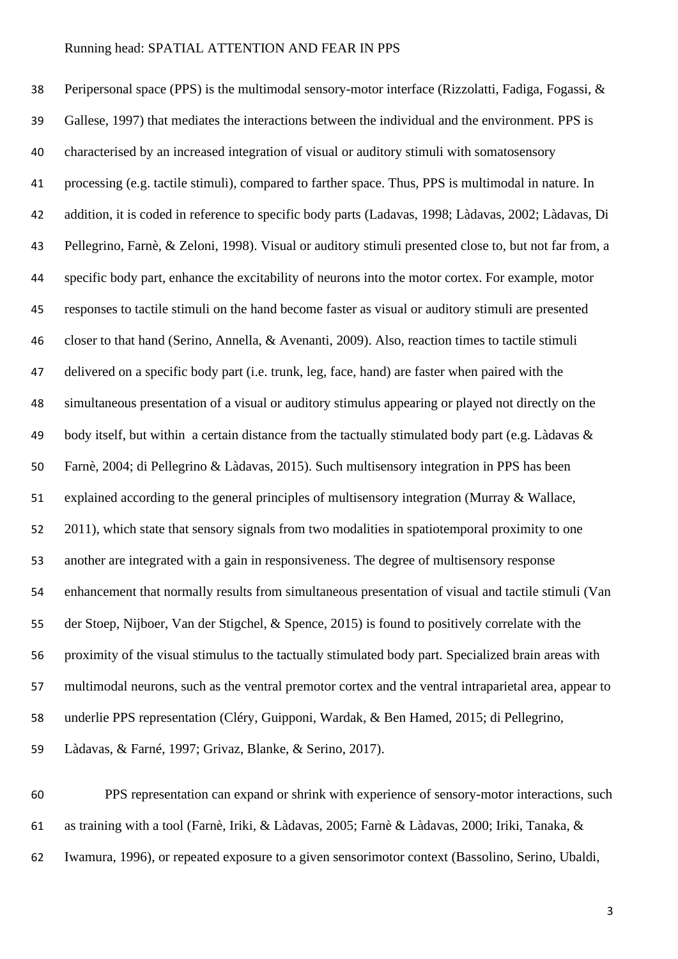Peripersonal space (PPS) is the multimodal sensory-motor interface (Rizzolatti, Fadiga, Fogassi, & Gallese, 1997) that mediates the interactions between the individual and the environment. PPS is characterised by an increased integration of visual or auditory stimuli with somatosensory processing (e.g. tactile stimuli), compared to farther space. Thus, PPS is multimodal in nature. In addition, it is coded in reference to specific body parts (Ladavas, 1998; Làdavas, 2002; Làdavas, Di Pellegrino, Farnè, & Zeloni, 1998). Visual or auditory stimuli presented close to, but not far from, a specific body part, enhance the excitability of neurons into the motor cortex. For example, motor responses to tactile stimuli on the hand become faster as visual or auditory stimuli are presented closer to that hand (Serino, Annella, & Avenanti, 2009). Also, reaction times to tactile stimuli delivered on a specific body part (i.e. trunk, leg, face, hand) are faster when paired with the simultaneous presentation of a visual or auditory stimulus appearing or played not directly on the body itself, but within a certain distance from the tactually stimulated body part (e.g. Làdavas & Farnè, 2004; di Pellegrino & Làdavas, 2015). Such multisensory integration in PPS has been explained according to the general principles of multisensory integration (Murray & Wallace, 2011), which state that sensory signals from two modalities in spatiotemporal proximity to one another are integrated with a gain in responsiveness. The degree of multisensory response enhancement that normally results from simultaneous presentation of visual and tactile stimuli (Van der Stoep, Nijboer, Van der Stigchel, & Spence, 2015) is found to positively correlate with the proximity of the visual stimulus to the tactually stimulated body part. Specialized brain areas with multimodal neurons, such as the ventral premotor cortex and the ventral intraparietal area, appear to underlie PPS representation (Cléry, Guipponi, Wardak, & Ben Hamed, 2015; di Pellegrino, Làdavas, & Farné, 1997; Grivaz, Blanke, & Serino, 2017).

 PPS representation can expand or shrink with experience of sensory-motor interactions, such as training with a tool (Farnè, Iriki, & Làdavas, 2005; Farnè & Làdavas, 2000; Iriki, Tanaka, & Iwamura, 1996), or repeated exposure to a given sensorimotor context (Bassolino, Serino, Ubaldi,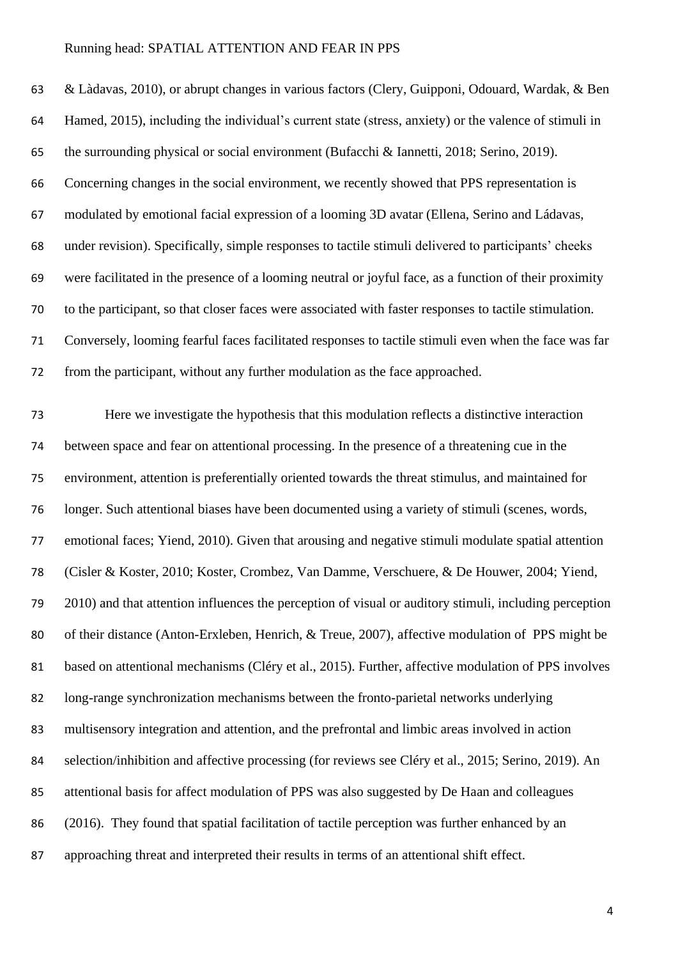& Làdavas, 2010), or abrupt changes in various factors (Clery, Guipponi, Odouard, Wardak, & Ben Hamed, 2015), including the individual's current state (stress, anxiety) or the valence of stimuli in the surrounding physical or social environment (Bufacchi & Iannetti, 2018; Serino, 2019). Concerning changes in the social environment, we recently showed that PPS representation is modulated by emotional facial expression of a looming 3D avatar (Ellena, Serino and Ládavas, under revision). Specifically, simple responses to tactile stimuli delivered to participants' cheeks were facilitated in the presence of a looming neutral or joyful face, as a function of their proximity to the participant, so that closer faces were associated with faster responses to tactile stimulation. Conversely, looming fearful faces facilitated responses to tactile stimuli even when the face was far from the participant, without any further modulation as the face approached.

 Here we investigate the hypothesis that this modulation reflects a distinctive interaction between space and fear on attentional processing. In the presence of a threatening cue in the environment, attention is preferentially oriented towards the threat stimulus, and maintained for longer. Such attentional biases have been documented using a variety of stimuli (scenes, words, emotional faces; Yiend, 2010). Given that arousing and negative stimuli modulate spatial attention (Cisler & Koster, 2010; Koster, Crombez, Van Damme, Verschuere, & De Houwer, 2004; Yiend, 2010) and that attention influences the perception of visual or auditory stimuli, including perception of their distance (Anton-Erxleben, Henrich, & Treue, 2007), affective modulation of PPS might be based on attentional mechanisms (Cléry et al., 2015). Further, affective modulation of PPS involves long-range synchronization mechanisms between the fronto-parietal networks underlying multisensory integration and attention, and the prefrontal and limbic areas involved in action selection/inhibition and affective processing (for reviews see Cléry et al., 2015; Serino, 2019). An attentional basis for affect modulation of PPS was also suggested by De Haan and colleagues (2016). They found that spatial facilitation of tactile perception was further enhanced by an approaching threat and interpreted their results in terms of an attentional shift effect.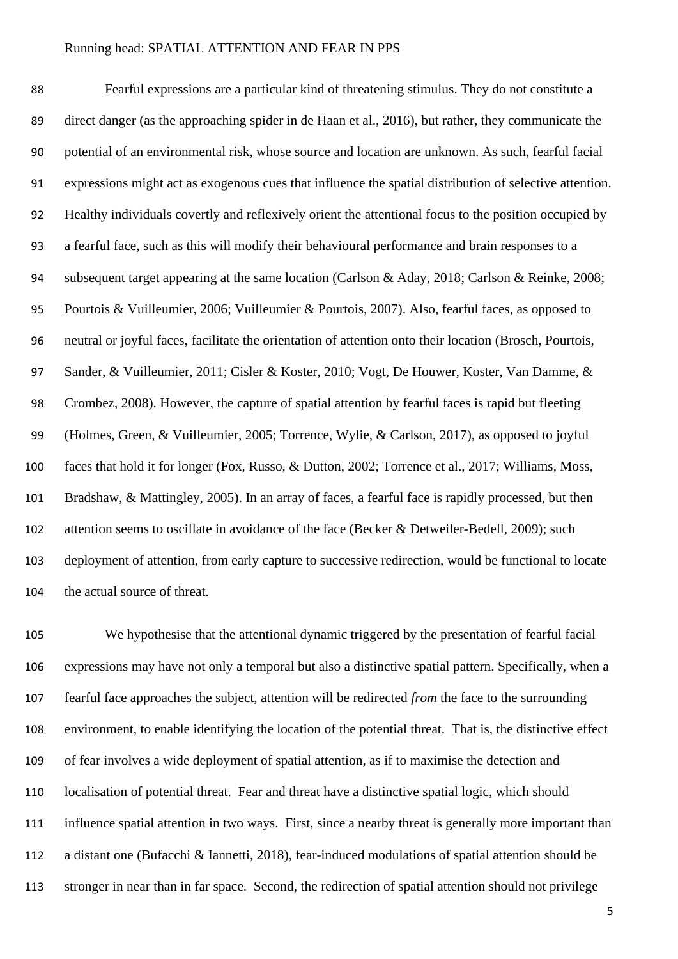Fearful expressions are a particular kind of threatening stimulus. They do not constitute a direct danger (as the approaching spider in de Haan et al., 2016), but rather, they communicate the potential of an environmental risk, whose source and location are unknown. As such, fearful facial expressions might act as exogenous cues that influence the spatial distribution of selective attention. Healthy individuals covertly and reflexively orient the attentional focus to the position occupied by a fearful face, such as this will modify their behavioural performance and brain responses to a subsequent target appearing at the same location (Carlson & Aday, 2018; Carlson & Reinke, 2008; Pourtois & Vuilleumier, 2006; Vuilleumier & Pourtois, 2007). Also, fearful faces, as opposed to neutral or joyful faces, facilitate the orientation of attention onto their location (Brosch, Pourtois, Sander, & Vuilleumier, 2011; Cisler & Koster, 2010; Vogt, De Houwer, Koster, Van Damme, & Crombez, 2008). However, the capture of spatial attention by fearful faces is rapid but fleeting (Holmes, Green, & Vuilleumier, 2005; Torrence, Wylie, & Carlson, 2017), as opposed to joyful faces that hold it for longer (Fox, Russo, & Dutton, 2002; Torrence et al., 2017; Williams, Moss, Bradshaw, & Mattingley, 2005). In an array of faces, a fearful face is rapidly processed, but then 102 attention seems to oscillate in avoidance of the face (Becker & Detweiler-Bedell, 2009); such deployment of attention, from early capture to successive redirection, would be functional to locate the actual source of threat.

 We hypothesise that the attentional dynamic triggered by the presentation of fearful facial expressions may have not only a temporal but also a distinctive spatial pattern. Specifically, when a fearful face approaches the subject, attention will be redirected *from* the face to the surrounding environment, to enable identifying the location of the potential threat. That is, the distinctive effect of fear involves a wide deployment of spatial attention, as if to maximise the detection and localisation of potential threat. Fear and threat have a distinctive spatial logic, which should influence spatial attention in two ways. First, since a nearby threat is generally more important than a distant one (Bufacchi & Iannetti, 2018), fear-induced modulations of spatial attention should be stronger in near than in far space. Second, the redirection of spatial attention should not privilege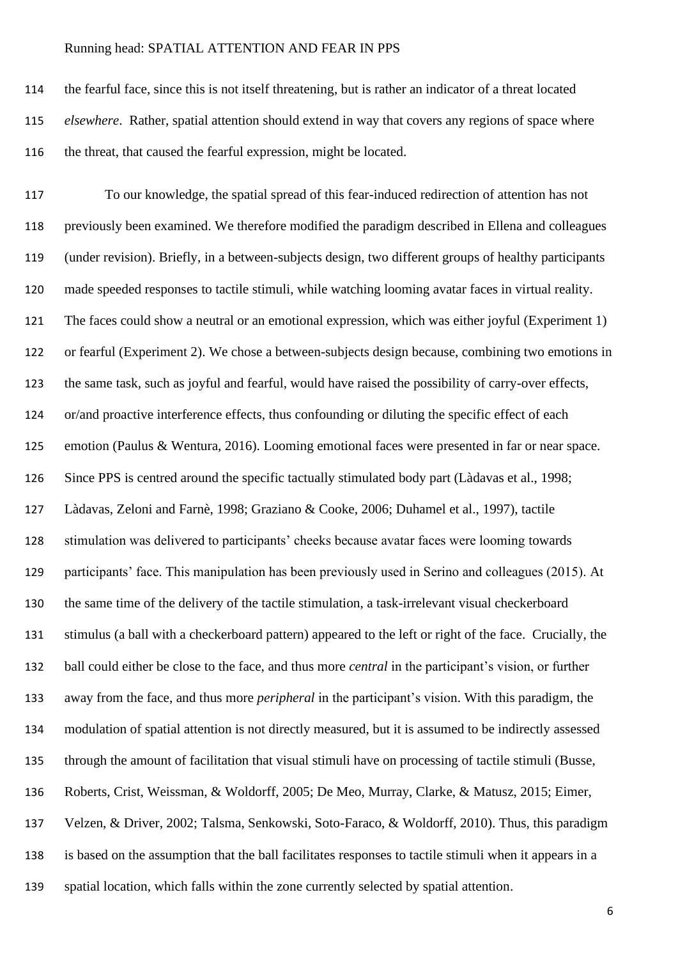the fearful face, since this is not itself threatening, but is rather an indicator of a threat located *elsewhere*. Rather, spatial attention should extend in way that covers any regions of space where the threat, that caused the fearful expression, might be located.

 To our knowledge, the spatial spread of this fear-induced redirection of attention has not previously been examined. We therefore modified the paradigm described in Ellena and colleagues (under revision). Briefly, in a between-subjects design, two different groups of healthy participants made speeded responses to tactile stimuli, while watching looming avatar faces in virtual reality. The faces could show a neutral or an emotional expression, which was either joyful (Experiment 1) or fearful (Experiment 2). We chose a between-subjects design because, combining two emotions in the same task, such as joyful and fearful, would have raised the possibility of carry-over effects, or/and proactive interference effects, thus confounding or diluting the specific effect of each emotion (Paulus & Wentura, 2016). Looming emotional faces were presented in far or near space. Since PPS is centred around the specific tactually stimulated body part (Làdavas et al., 1998; Làdavas, Zeloni and Farnè, 1998; Graziano & Cooke, 2006; Duhamel et al., 1997), tactile stimulation was delivered to participants' cheeks because avatar faces were looming towards participants' face. This manipulation has been previously used in Serino and colleagues (2015). At the same time of the delivery of the tactile stimulation, a task-irrelevant visual checkerboard stimulus (a ball with a checkerboard pattern) appeared to the left or right of the face. Crucially, the ball could either be close to the face, and thus more *central* in the participant's vision, or further away from the face, and thus more *peripheral* in the participant's vision. With this paradigm, the modulation of spatial attention is not directly measured, but it is assumed to be indirectly assessed through the amount of facilitation that visual stimuli have on processing of tactile stimuli (Busse, Roberts, Crist, Weissman, & Woldorff, 2005; De Meo, Murray, Clarke, & Matusz, 2015; Eimer, Velzen, & Driver, 2002; Talsma, Senkowski, Soto-Faraco, & Woldorff, 2010). Thus, this paradigm is based on the assumption that the ball facilitates responses to tactile stimuli when it appears in a spatial location, which falls within the zone currently selected by spatial attention.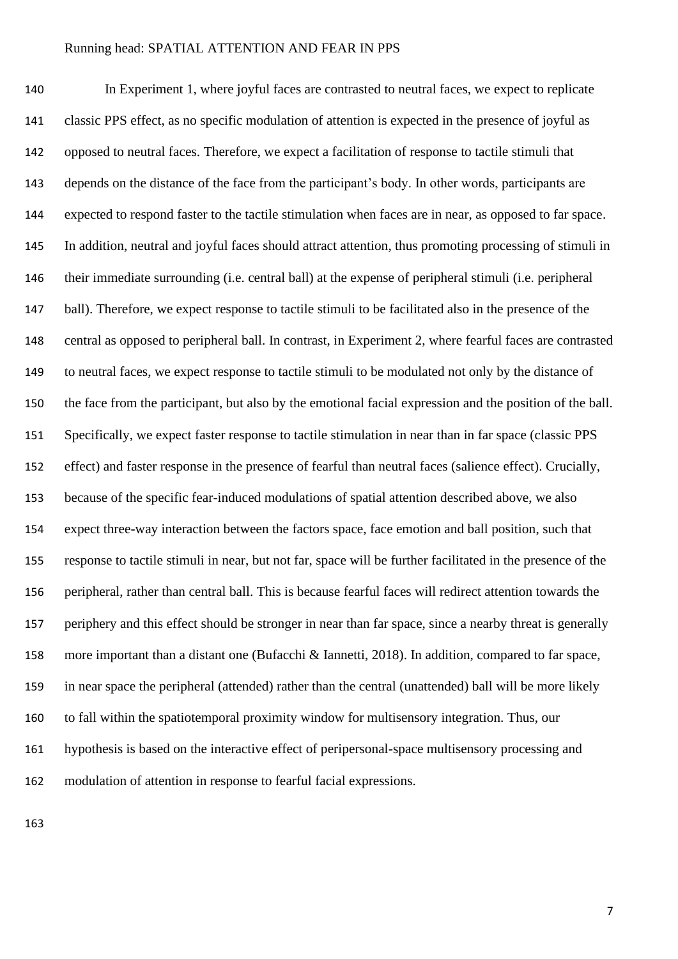In Experiment 1, where joyful faces are contrasted to neutral faces, we expect to replicate classic PPS effect, as no specific modulation of attention is expected in the presence of joyful as opposed to neutral faces. Therefore, we expect a facilitation of response to tactile stimuli that depends on the distance of the face from the participant's body. In other words, participants are expected to respond faster to the tactile stimulation when faces are in near, as opposed to far space. In addition, neutral and joyful faces should attract attention, thus promoting processing of stimuli in their immediate surrounding (i.e. central ball) at the expense of peripheral stimuli (i.e. peripheral ball). Therefore, we expect response to tactile stimuli to be facilitated also in the presence of the central as opposed to peripheral ball. In contrast, in Experiment 2, where fearful faces are contrasted to neutral faces, we expect response to tactile stimuli to be modulated not only by the distance of the face from the participant, but also by the emotional facial expression and the position of the ball. Specifically, we expect faster response to tactile stimulation in near than in far space (classic PPS effect) and faster response in the presence of fearful than neutral faces (salience effect). Crucially, because of the specific fear-induced modulations of spatial attention described above, we also expect three-way interaction between the factors space, face emotion and ball position, such that response to tactile stimuli in near, but not far, space will be further facilitated in the presence of the peripheral, rather than central ball. This is because fearful faces will redirect attention towards the periphery and this effect should be stronger in near than far space, since a nearby threat is generally more important than a distant one (Bufacchi & Iannetti, 2018). In addition, compared to far space, in near space the peripheral (attended) rather than the central (unattended) ball will be more likely to fall within the spatiotemporal proximity window for multisensory integration. Thus, our hypothesis is based on the interactive effect of peripersonal-space multisensory processing and modulation of attention in response to fearful facial expressions.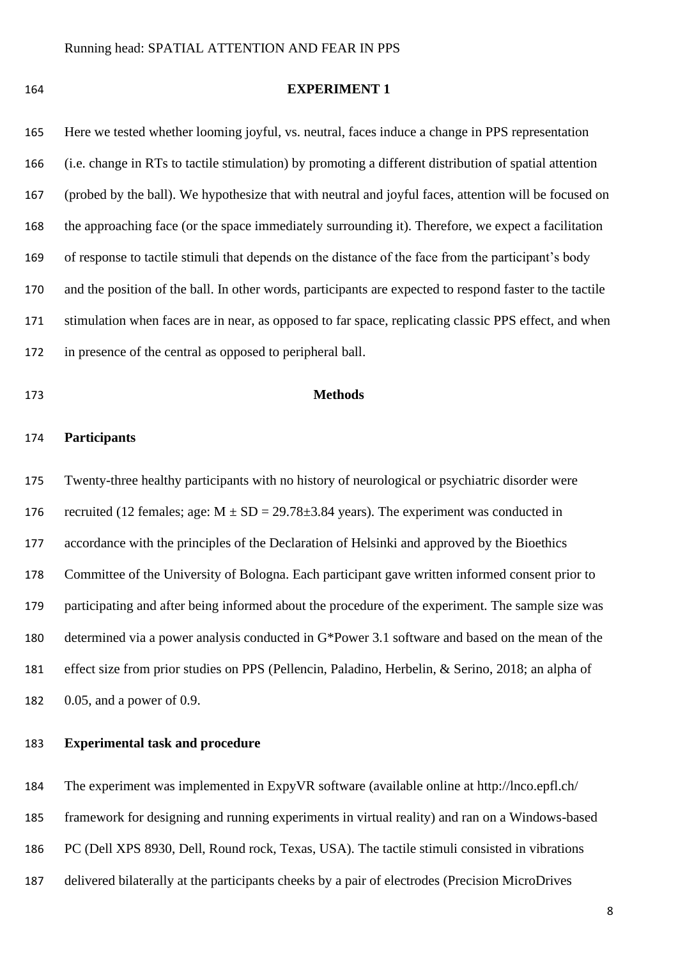# **EXPERIMENT 1**

 Here we tested whether looming joyful, vs. neutral, faces induce a change in PPS representation (i.e. change in RTs to tactile stimulation) by promoting a different distribution of spatial attention (probed by the ball). We hypothesize that with neutral and joyful faces, attention will be focused on the approaching face (or the space immediately surrounding it). Therefore, we expect a facilitation of response to tactile stimuli that depends on the distance of the face from the participant's body and the position of the ball. In other words, participants are expected to respond faster to the tactile stimulation when faces are in near, as opposed to far space, replicating classic PPS effect, and when in presence of the central as opposed to peripheral ball.

# **Methods**

# **Participants**

 Twenty-three healthy participants with no history of neurological or psychiatric disorder were 176 recruited (12 females; age:  $M \pm SD = 29.78 \pm 3.84$  years). The experiment was conducted in accordance with the principles of the Declaration of Helsinki and approved by the Bioethics Committee of the University of Bologna. Each participant gave written informed consent prior to participating and after being informed about the procedure of the experiment. The sample size was determined via a power analysis conducted in G\*Power 3.1 software and based on the mean of the effect size from prior studies on PPS (Pellencin, Paladino, Herbelin, & Serino, 2018; an alpha of 0.05, and a power of 0.9.

# **Experimental task and procedure**

The experiment was implemented in ExpyVR software (available online at http://lnco.epfl.ch/

framework for designing and running experiments in virtual reality) and ran on a Windows-based

- PC (Dell XPS 8930, Dell, Round rock, Texas, USA). The tactile stimuli consisted in vibrations
- delivered bilaterally at the participants cheeks by a pair of electrodes (Precision MicroDrives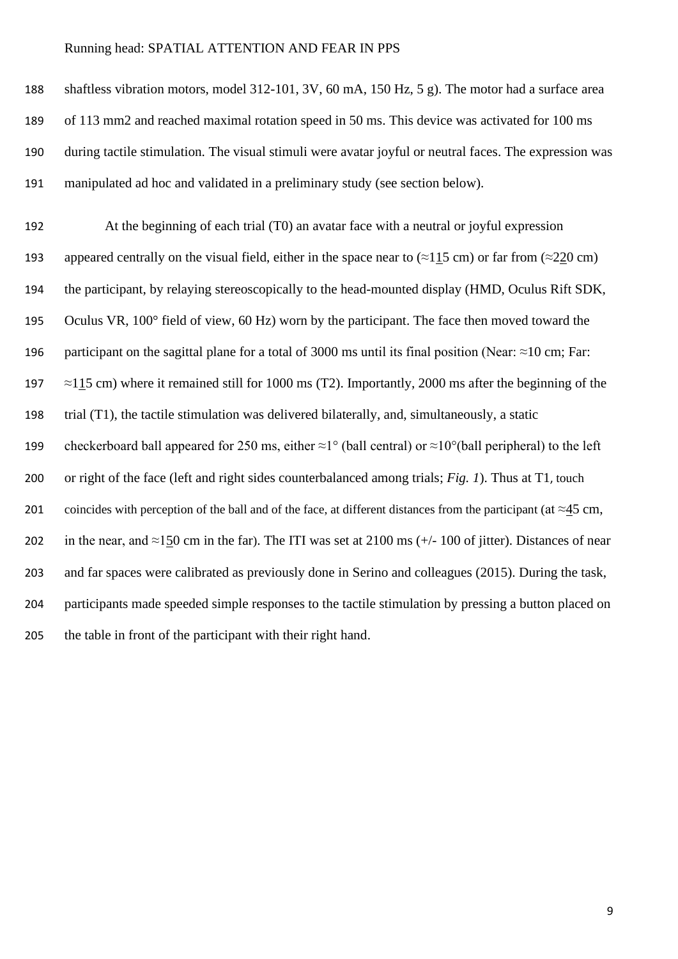shaftless vibration motors, model 312-101, 3V, 60 mA, 150 Hz, 5 g). The motor had a surface area of 113 mm2 and reached maximal rotation speed in 50 ms. This device was activated for 100 ms during tactile stimulation. The visual stimuli were avatar joyful or neutral faces. The expression was manipulated ad hoc and validated in a preliminary study (see section below).

 At the beginning of each trial (T0) an avatar face with a neutral or joyful expression 193 appeared centrally on the visual field, either in the space near to  $(\approx 115 \text{ cm})$  or far from  $(\approx 220 \text{ cm})$  the participant, by relaying stereoscopically to the head-mounted display (HMD, Oculus Rift SDK, Oculus VR, 100° field of view, 60 Hz) worn by the participant. The face then moved toward the participant on the sagittal plane for a total of 3000 ms until its final position (Near: ≈10 cm; Far:  $\approx$  115 cm) where it remained still for 1000 ms (T2). Importantly, 2000 ms after the beginning of the trial (T1), the tactile stimulation was delivered bilaterally, and, simultaneously, a static 199 checkerboard ball appeared for 250 ms, either  $\approx 1^{\circ}$  (ball central) or  $\approx 10^{\circ}$ (ball peripheral) to the left or right of the face (left and right sides counterbalanced among trials; *Fig. 1*). Thus at T1, touch 201 coincides with perception of the ball and of the face, at different distances from the participant (at  $\approx$ 45 cm, 202 in the near, and ≈150 cm in the far). The ITI was set at 2100 ms (+/- 100 of jitter). Distances of near and far spaces were calibrated as previously done in Serino and colleagues (2015). During the task, participants made speeded simple responses to the tactile stimulation by pressing a button placed on the table in front of the participant with their right hand.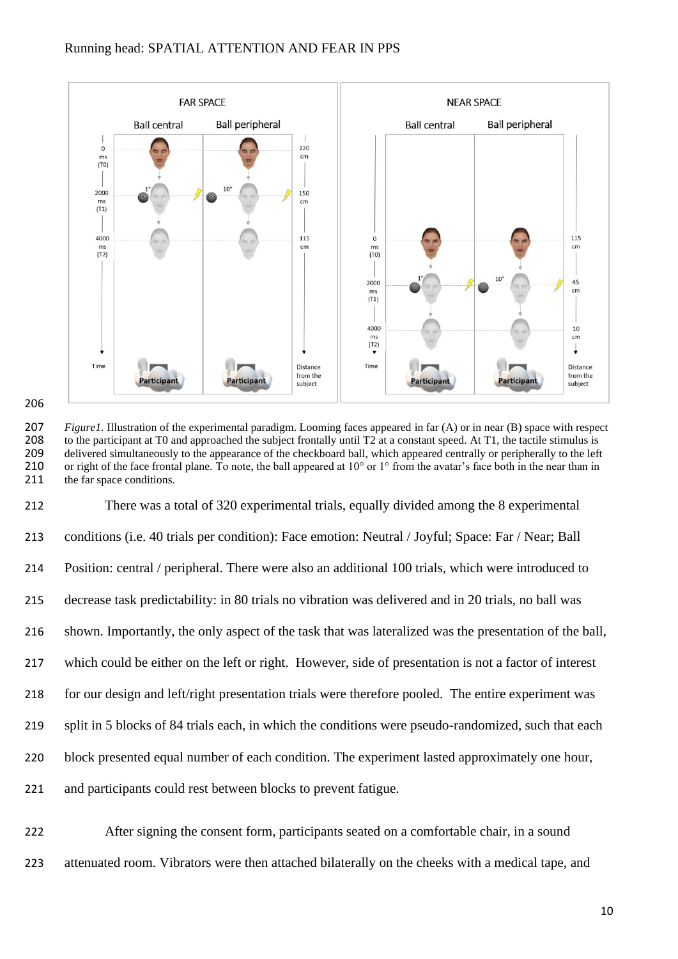



 There was a total of 320 experimental trials, equally divided among the 8 experimental conditions (i.e. 40 trials per condition): Face emotion: Neutral / Joyful; Space: Far / Near; Ball Position: central / peripheral. There were also an additional 100 trials, which were introduced to decrease task predictability: in 80 trials no vibration was delivered and in 20 trials, no ball was shown. Importantly, the only aspect of the task that was lateralized was the presentation of the ball, which could be either on the left or right. However, side of presentation is not a factor of interest for our design and left/right presentation trials were therefore pooled. The entire experiment was split in 5 blocks of 84 trials each, in which the conditions were pseudo-randomized, such that each block presented equal number of each condition. The experiment lasted approximately one hour, and participants could rest between blocks to prevent fatigue.

 After signing the consent form, participants seated on a comfortable chair, in a sound attenuated room. Vibrators were then attached bilaterally on the cheeks with a medical tape, and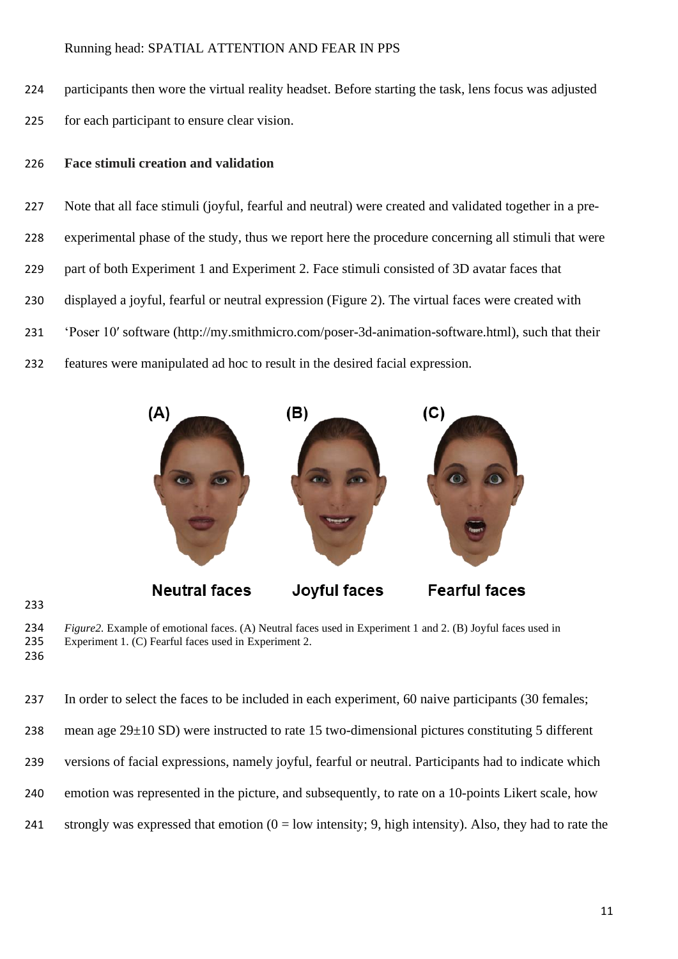participants then wore the virtual reality headset. Before starting the task, lens focus was adjusted for each participant to ensure clear vision.

#### **Face stimuli creation and validation**

 Note that all face stimuli (joyful, fearful and neutral) were created and validated together in a pre- experimental phase of the study, thus we report here the procedure concerning all stimuli that were 229 part of both Experiment 1 and Experiment 2. Face stimuli consisted of 3D avatar faces that displayed a joyful, fearful or neutral expression (Figure 2). The virtual faces were created with 'Poser 10′ software (http://my.smithmicro.com/poser-3d-animation-software.html), such that their features were manipulated ad hoc to result in the desired facial expression.



*Figure2*. Example of emotional faces. (A) Neutral faces used in Experiment 1 and 2. (B) Joyful faces used in Experiment 1. (C) Fearful faces used in Experiment 2. Experiment 1.  $(C)$  Fearful faces used in Experiment 2. 

 In order to select the faces to be included in each experiment, 60 naive participants (30 females; 238 mean age  $29\pm10$  SD) were instructed to rate 15 two-dimensional pictures constituting 5 different versions of facial expressions, namely joyful, fearful or neutral. Participants had to indicate which emotion was represented in the picture, and subsequently, to rate on a 10-points Likert scale, how 241 strongly was expressed that emotion  $(0 = low$  intensity; 9, high intensity). Also, they had to rate the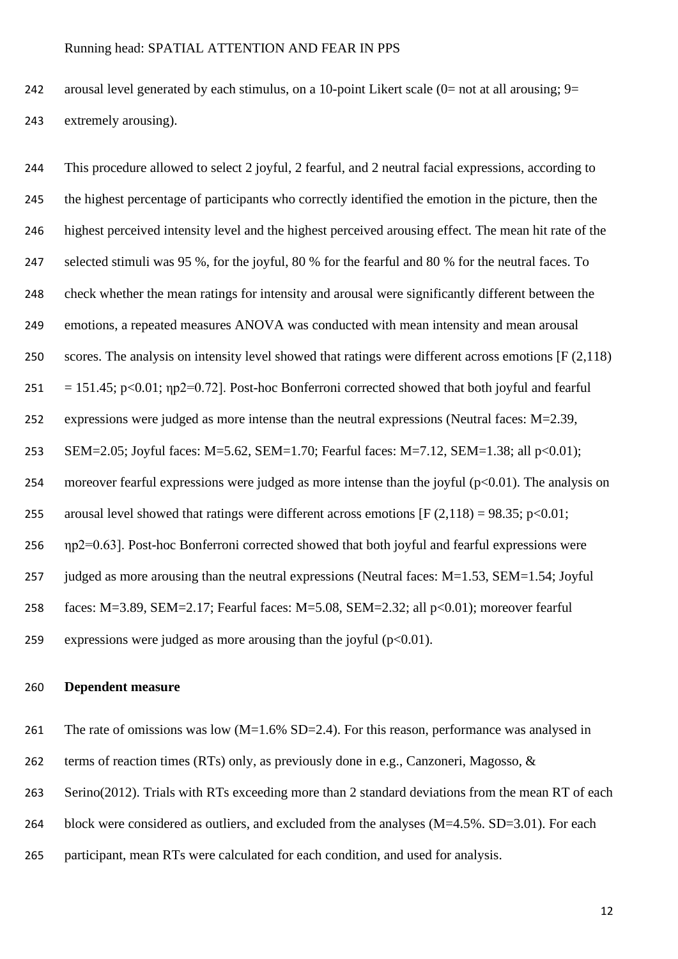242 arousal level generated by each stimulus, on a 10-point Likert scale  $(0=$  not at all arousing;  $9=$ extremely arousing).

 This procedure allowed to select 2 joyful, 2 fearful, and 2 neutral facial expressions, according to the highest percentage of participants who correctly identified the emotion in the picture, then the highest perceived intensity level and the highest perceived arousing effect. The mean hit rate of the selected stimuli was 95 %, for the joyful, 80 % for the fearful and 80 % for the neutral faces. To check whether the mean ratings for intensity and arousal were significantly different between the emotions, a repeated measures ANOVA was conducted with mean intensity and mean arousal 250 scores. The analysis on intensity level showed that ratings were different across emotions [F (2,118)  $251 = 151.45$ ; p<0.01;  $np2=0.72$ ]. Post-hoc Bonferroni corrected showed that both joyful and fearful expressions were judged as more intense than the neutral expressions (Neutral faces: M=2.39, SEM=2.05; Joyful faces: M=5.62, SEM=1.70; Fearful faces: M=7.12, SEM=1.38; all p<0.01); 254 moreover fearful expressions were judged as more intense than the joyful  $(p<0.01)$ . The analysis on 255 arousal level showed that ratings were different across emotions  $[F (2, 118) = 98.35; p<0.01;$  ηp2=0.63]. Post-hoc Bonferroni corrected showed that both joyful and fearful expressions were judged as more arousing than the neutral expressions (Neutral faces: M=1.53, SEM=1.54; Joyful faces: M=3.89, SEM=2.17; Fearful faces: M=5.08, SEM=2.32; all p<0.01); moreover fearful 259 expressions were judged as more arousing than the joyful  $(p<0.01)$ .

#### **Dependent measure**

261 The rate of omissions was low  $(M=1.6\%$  SD=2.4). For this reason, performance was analysed in

terms of reaction times (RTs) only, as previously done in e.g., Canzoneri, Magosso, &

Serino(2012). Trials with RTs exceeding more than 2 standard deviations from the mean RT of each

- block were considered as outliers, and excluded from the analyses (M=4.5%. SD=3.01). For each
- participant, mean RTs were calculated for each condition, and used for analysis.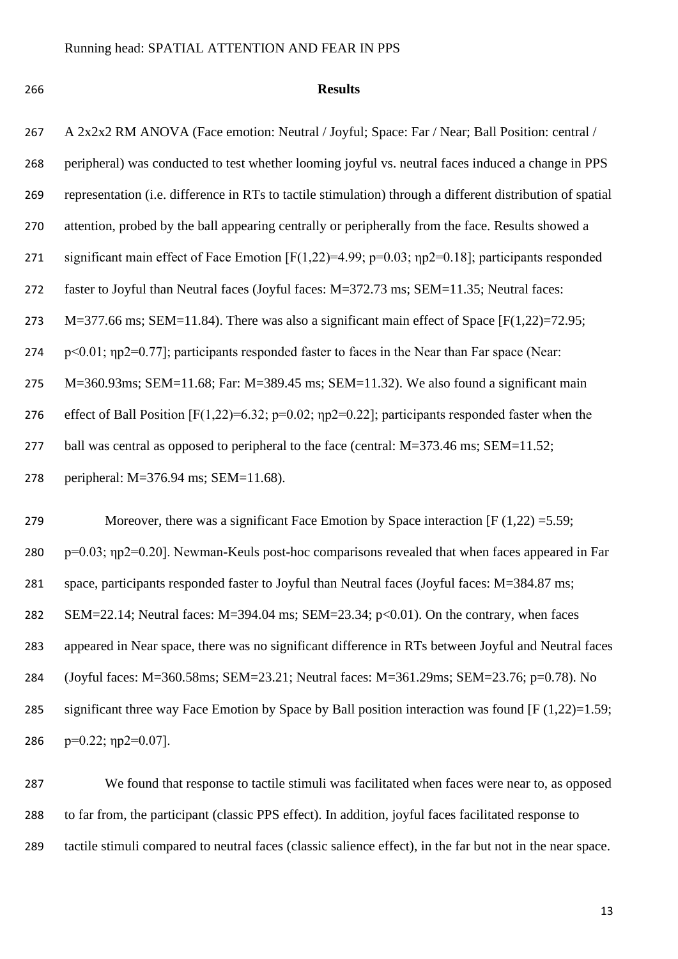#### **Results**

| 267 | A 2x2x2 RM ANOVA (Face emotion: Neutral / Joyful; Space: Far / Near; Ball Position: central /              |
|-----|------------------------------------------------------------------------------------------------------------|
| 268 | peripheral) was conducted to test whether looming joyful vs. neutral faces induced a change in PPS         |
| 269 | representation (i.e. difference in RTs to tactile stimulation) through a different distribution of spatial |
| 270 | attention, probed by the ball appearing centrally or peripherally from the face. Results showed a          |
| 271 | significant main effect of Face Emotion [F(1,22)=4.99; p=0.03; $np2=0.18$ ]; participants responded        |
| 272 | faster to Joyful than Neutral faces (Joyful faces: M=372.73 ms; SEM=11.35; Neutral faces:                  |
| 273 | $M=377.66$ ms; SEM=11.84). There was also a significant main effect of Space [F(1,22)=72.95;               |
| 274 | $p<0.01$ ; $np2=0.77$ ]; participants responded faster to faces in the Near than Far space (Near:          |
| 275 | M=360.93ms; SEM=11.68; Far: M=389.45 ms; SEM=11.32). We also found a significant main                      |
| 276 | effect of Ball Position [F(1,22)=6.32; p=0.02; np2=0.22]; participants responded faster when the           |
| 277 | ball was central as opposed to peripheral to the face (central: M=373.46 ms; SEM=11.52;                    |
| 278 | peripheral: $M=376.94$ ms; $SEM=11.68$ ).                                                                  |
|     |                                                                                                            |

279 Moreover, there was a significant Face Emotion by Space interaction  $[F(1,22) = 5.59;$  p=0.03; ηp2=0.20]. Newman-Keuls post-hoc comparisons revealed that when faces appeared in Far space, participants responded faster to Joyful than Neutral faces (Joyful faces: M=384.87 ms; SEM=22.14; Neutral faces: M=394.04 ms; SEM=23.34; p<0.01). On the contrary, when faces appeared in Near space, there was no significant difference in RTs between Joyful and Neutral faces (Joyful faces: M=360.58ms; SEM=23.21; Neutral faces: M=361.29ms; SEM=23.76; p=0.78). No significant three way Face Emotion by Space by Ball position interaction was found [F (1,22)=1.59;  $p=0.22$ ;  $np2=0.07$ ].

 We found that response to tactile stimuli was facilitated when faces were near to, as opposed to far from, the participant (classic PPS effect). In addition, joyful faces facilitated response to tactile stimuli compared to neutral faces (classic salience effect), in the far but not in the near space.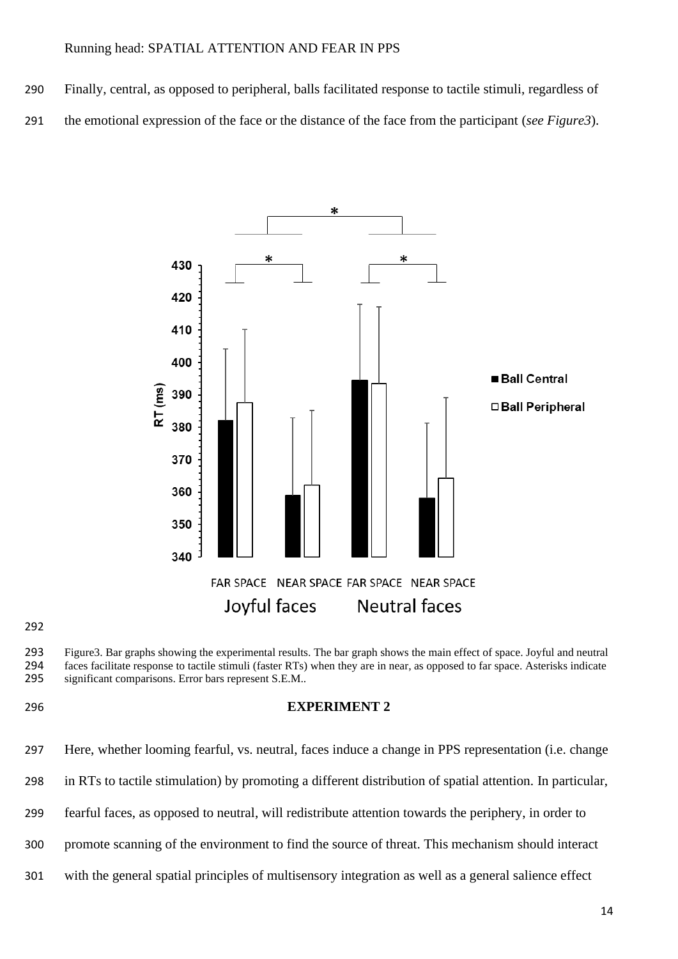- Finally, central, as opposed to peripheral, balls facilitated response to tactile stimuli, regardless of
- the emotional expression of the face or the distance of the face from the participant (*see Figure3*).



#### 

293 Figure3. Bar graphs showing the experimental results. The bar graph shows the main effect of space. Joyful and neutral 294 faces facilitate response to tactile stimuli (faster RTs) when they are in near, as opposed to 294 faces facilitate response to tactile stimuli (faster RTs) when they are in near, as opposed to far space. Asterisks indicate significant comparisons. Error bars represent S.E.M.. significant comparisons. Error bars represent S.E.M..

# **EXPERIMENT 2**



- fearful faces, as opposed to neutral, will redistribute attention towards the periphery, in order to
- promote scanning of the environment to find the source of threat. This mechanism should interact
- with the general spatial principles of multisensory integration as well as a general salience effect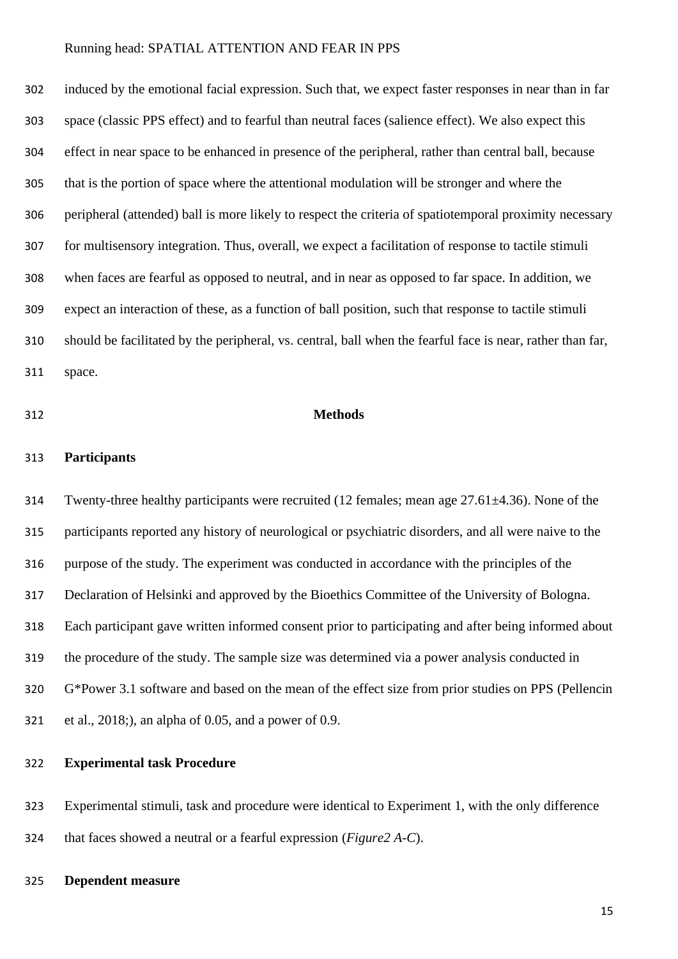induced by the emotional facial expression. Such that, we expect faster responses in near than in far space (classic PPS effect) and to fearful than neutral faces (salience effect). We also expect this effect in near space to be enhanced in presence of the peripheral, rather than central ball, because that is the portion of space where the attentional modulation will be stronger and where the peripheral (attended) ball is more likely to respect the criteria of spatiotemporal proximity necessary for multisensory integration. Thus, overall, we expect a facilitation of response to tactile stimuli when faces are fearful as opposed to neutral, and in near as opposed to far space. In addition, we expect an interaction of these, as a function of ball position, such that response to tactile stimuli should be facilitated by the peripheral, vs. central, ball when the fearful face is near, rather than far, space.

#### **Methods**

# **Participants**

 Twenty-three healthy participants were recruited (12 females; mean age 27.61±4.36). None of the participants reported any history of neurological or psychiatric disorders, and all were naive to the purpose of the study. The experiment was conducted in accordance with the principles of the Declaration of Helsinki and approved by the Bioethics Committee of the University of Bologna. Each participant gave written informed consent prior to participating and after being informed about the procedure of the study. The sample size was determined via a power analysis conducted in G\*Power 3.1 software and based on the mean of the effect size from prior studies on PPS (Pellencin et al., 2018;), an alpha of 0.05, and a power of 0.9.

# **Experimental task Procedure**

 Experimental stimuli, task and procedure were identical to Experiment 1, with the only difference that faces showed a neutral or a fearful expression (*Figure2 A-C*).

# **Dependent measure**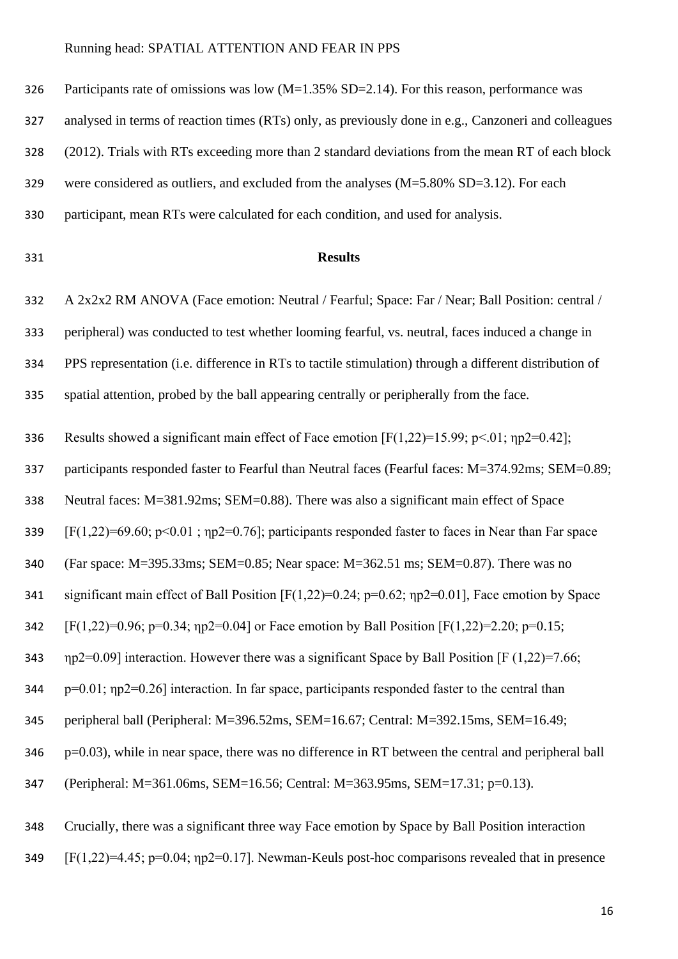Participants rate of omissions was low (M=1.35% SD=2.14). For this reason, performance was

analysed in terms of reaction times (RTs) only, as previously done in e.g., Canzoneri and colleagues

(2012). Trials with RTs exceeding more than 2 standard deviations from the mean RT of each block

were considered as outliers, and excluded from the analyses (M=5.80% SD=3.12). For each

participant, mean RTs were calculated for each condition, and used for analysis.

# **Results**

A 2x2x2 RM ANOVA (Face emotion: Neutral / Fearful; Space: Far / Near; Ball Position: central /

peripheral) was conducted to test whether looming fearful, vs. neutral, faces induced a change in

PPS representation (i.e. difference in RTs to tactile stimulation) through a different distribution of

spatial attention, probed by the ball appearing centrally or peripherally from the face.

336 Results showed a significant main effect of Face emotion  $[F(1,22)=15.99; p<.01; np2=0.42]$ ;

337 participants responded faster to Fearful than Neutral faces (Fearful faces: M=374.92ms; SEM=0.89;

Neutral faces: M=381.92ms; SEM=0.88). There was also a significant main effect of Space

339 [F(1,22)=69.60; p<0.01; np2=0.76]; participants responded faster to faces in Near than Far space

(Far space: M=395.33ms; SEM=0.85; Near space: M=362.51 ms; SEM=0.87). There was no

341 significant main effect of Ball Position [F(1,22)=0.24; p=0.62; np2=0.01], Face emotion by Space

342 [F(1,22)=0.96; p=0.34; ηp2=0.04] or Face emotion by Ball Position [F(1,22)=2.20; p=0.15;

343  $np2=0.09$ ] interaction. However there was a significant Space by Ball Position [F (1,22)=7.66;

p=0.01; ηp2=0.26] interaction. In far space, participants responded faster to the central than

peripheral ball (Peripheral: M=396.52ms, SEM=16.67; Central: M=392.15ms, SEM=16.49;

p=0.03), while in near space, there was no difference in RT between the central and peripheral ball

(Peripheral: M=361.06ms, SEM=16.56; Central: M=363.95ms, SEM=17.31; p=0.13).

Crucially, there was a significant three way Face emotion by Space by Ball Position interaction

[F(1,22)=4.45; p=0.04; ηp2=0.17]. Newman-Keuls post-hoc comparisons revealed that in presence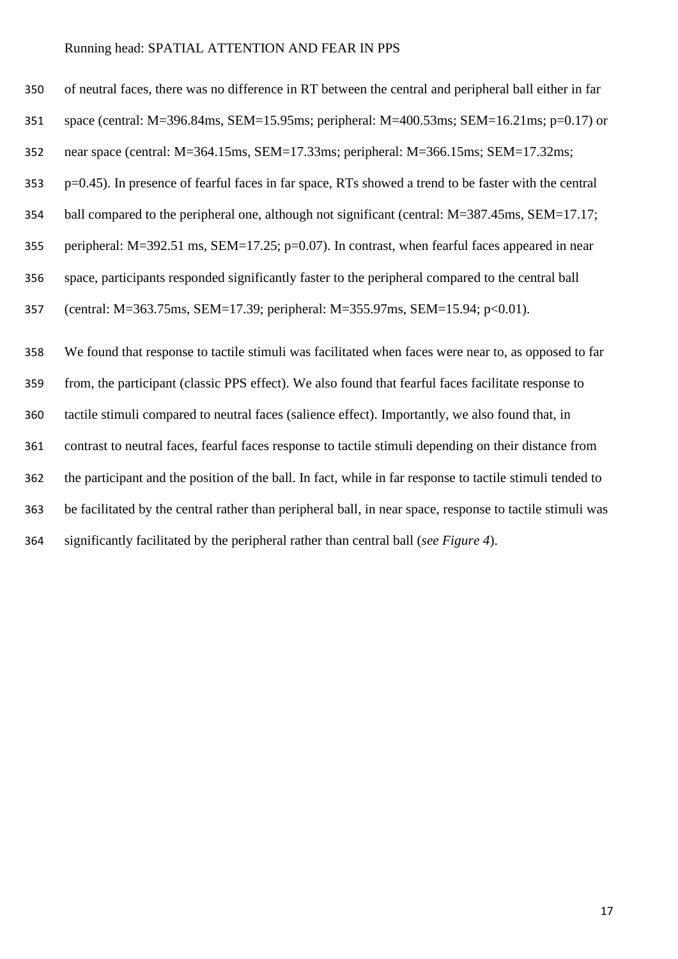| 350 | of neutral faces, there was no difference in RT between the central and peripheral ball either in far     |
|-----|-----------------------------------------------------------------------------------------------------------|
| 351 | space (central: $M=396.84$ ms, SEM=15.95ms; peripheral: $M=400.53$ ms; SEM=16.21ms; p=0.17) or            |
| 352 | near space (central: M=364.15ms, SEM=17.33ms; peripheral: M=366.15ms; SEM=17.32ms;                        |
| 353 | p=0.45). In presence of fearful faces in far space, RTs showed a trend to be faster with the central      |
| 354 | ball compared to the peripheral one, although not significant (central: M=387.45ms, SEM=17.17;            |
| 355 | peripheral: $M=392.51$ ms, $SEM=17.25$ ; $p=0.07$ ). In contrast, when fearful faces appeared in near     |
| 356 | space, participants responded significantly faster to the peripheral compared to the central ball         |
| 357 | (central: M=363.75ms, SEM=17.39; peripheral: M=355.97ms, SEM=15.94; p<0.01).                              |
| 358 | We found that response to tactile stimuli was facilitated when faces were near to, as opposed to far      |
| 359 | from, the participant (classic PPS effect). We also found that fearful faces facilitate response to       |
| 360 | tactile stimuli compared to neutral faces (salience effect). Importantly, we also found that, in          |
| 361 | contrast to neutral faces, fearful faces response to tactile stimuli depending on their distance from     |
| 362 | the participant and the position of the ball. In fact, while in far response to tactile stimuli tended to |
| 363 | be facilitated by the central rather than peripheral ball, in near space, response to tactile stimuli was |
| 364 | significantly facilitated by the peripheral rather than central ball (see Figure 4).                      |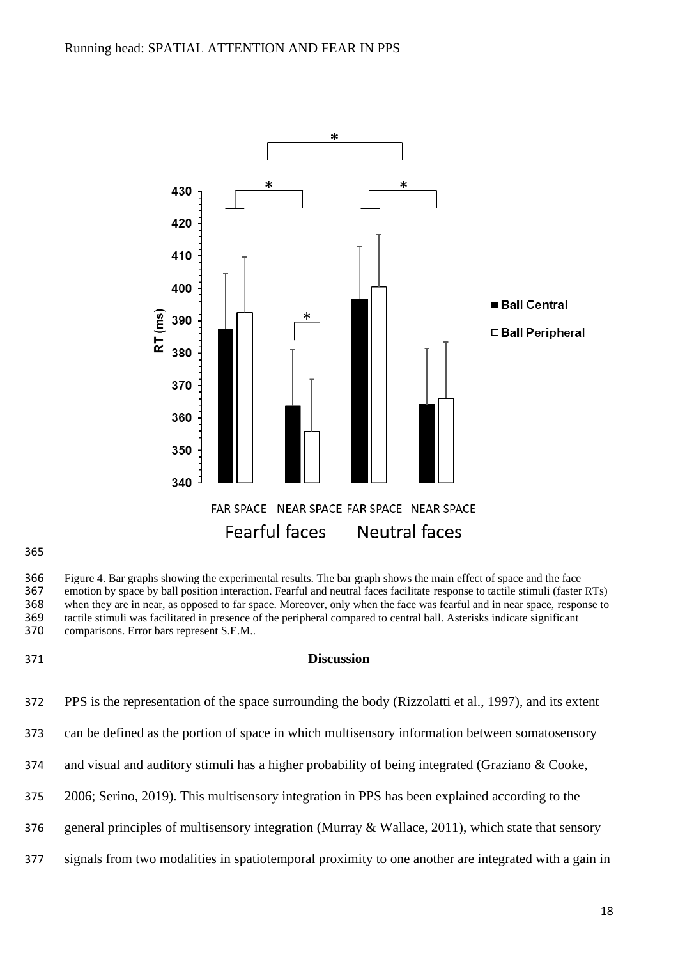

365

366 Figure 4. Bar graphs showing the experimental results. The bar graph shows the main effect of space and the face<br>367 emotion by space by ball position interaction. Fearful and neutral faces facilitate response to tacti 367 emotion by space by ball position interaction. Fearful and neutral faces facilitate response to tactile stimuli (faster RTs)<br>368 when they are in near, as opposed to far space. Moreover, only when the face was fearful 368 when they are in near, as opposed to far space. Moreover, only when the face was fearful and in near space, response to tactile stimuli was facilitated in presence of the peripheral compared to central ball. Asterisks 369 tactile stimuli was facilitated in presence of the peripheral compared to central ball. Asterisks indicate significant comparisons. Error bars represent S.E.M.. comparisons. Error bars represent S.E.M..

#### 371 **Discussion**

- 372 PPS is the representation of the space surrounding the body (Rizzolatti et al., 1997), and its extent
- 373 can be defined as the portion of space in which multisensory information between somatosensory
- 374 and visual and auditory stimuli has a higher probability of being integrated (Graziano & Cooke,
- 375 2006; Serino, 2019). This multisensory integration in PPS has been explained according to the
- 376 general principles of multisensory integration (Murray & Wallace, 2011), which state that sensory
- 377 signals from two modalities in spatiotemporal proximity to one another are integrated with a gain in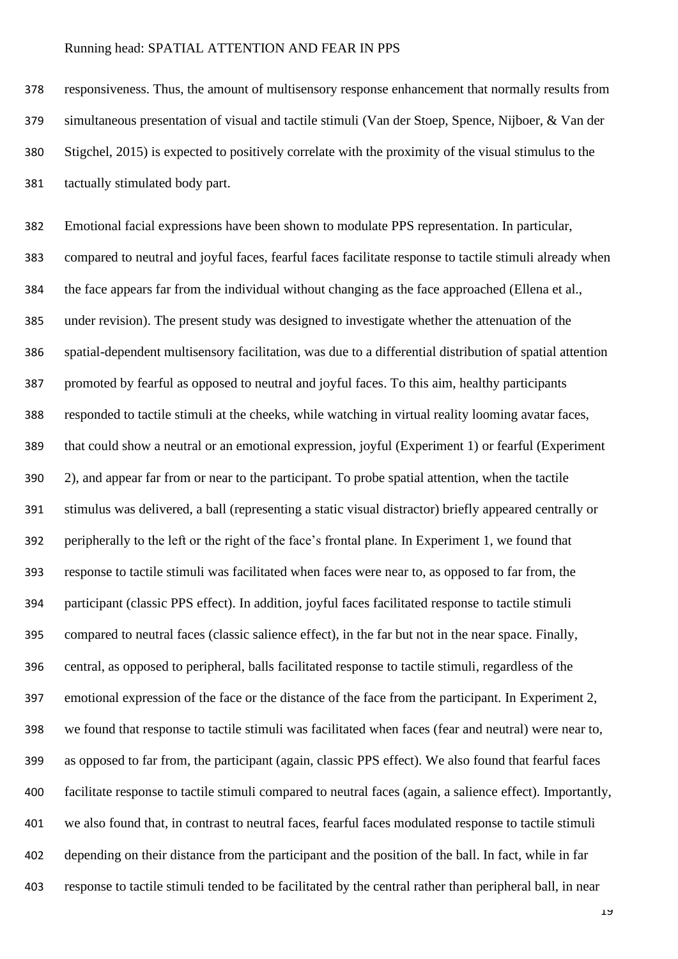responsiveness. Thus, the amount of multisensory response enhancement that normally results from simultaneous presentation of visual and tactile stimuli (Van der Stoep, Spence, Nijboer, & Van der Stigchel, 2015) is expected to positively correlate with the proximity of the visual stimulus to the tactually stimulated body part.

 Emotional facial expressions have been shown to modulate PPS representation. In particular, compared to neutral and joyful faces, fearful faces facilitate response to tactile stimuli already when the face appears far from the individual without changing as the face approached (Ellena et al., under revision). The present study was designed to investigate whether the attenuation of the spatial-dependent multisensory facilitation, was due to a differential distribution of spatial attention promoted by fearful as opposed to neutral and joyful faces. To this aim, healthy participants responded to tactile stimuli at the cheeks, while watching in virtual reality looming avatar faces, that could show a neutral or an emotional expression, joyful (Experiment 1) or fearful (Experiment 2), and appear far from or near to the participant. To probe spatial attention, when the tactile stimulus was delivered, a ball (representing a static visual distractor) briefly appeared centrally or peripherally to the left or the right of the face's frontal plane. In Experiment 1, we found that response to tactile stimuli was facilitated when faces were near to, as opposed to far from, the participant (classic PPS effect). In addition, joyful faces facilitated response to tactile stimuli compared to neutral faces (classic salience effect), in the far but not in the near space. Finally, central, as opposed to peripheral, balls facilitated response to tactile stimuli, regardless of the emotional expression of the face or the distance of the face from the participant. In Experiment 2, we found that response to tactile stimuli was facilitated when faces (fear and neutral) were near to, as opposed to far from, the participant (again, classic PPS effect). We also found that fearful faces facilitate response to tactile stimuli compared to neutral faces (again, a salience effect). Importantly, we also found that, in contrast to neutral faces, fearful faces modulated response to tactile stimuli depending on their distance from the participant and the position of the ball. In fact, while in far response to tactile stimuli tended to be facilitated by the central rather than peripheral ball, in near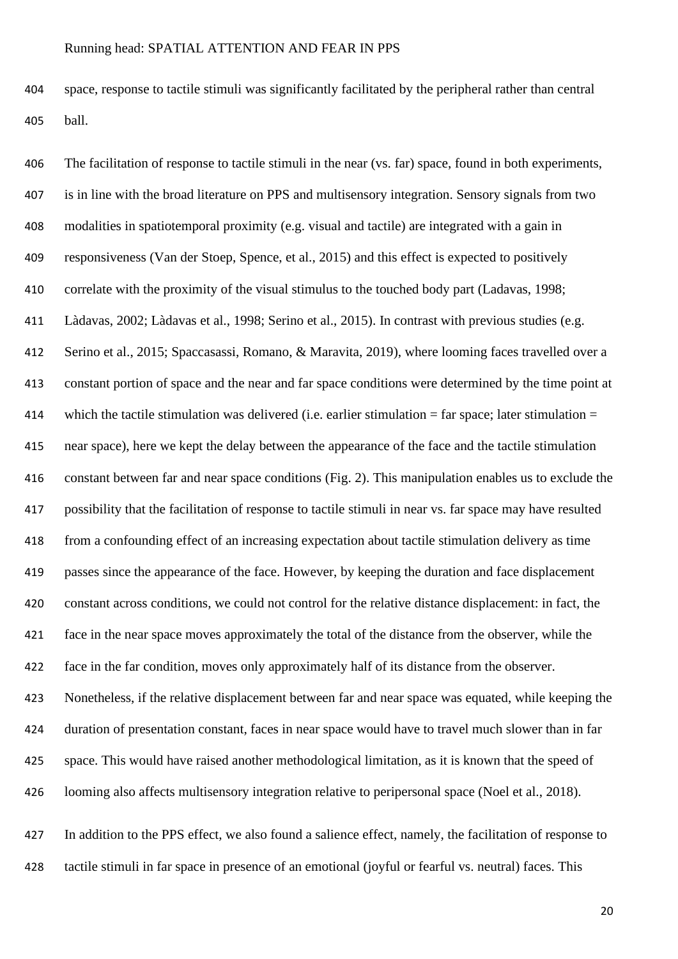space, response to tactile stimuli was significantly facilitated by the peripheral rather than central ball.

 The facilitation of response to tactile stimuli in the near (vs. far) space, found in both experiments, is in line with the broad literature on PPS and multisensory integration. Sensory signals from two modalities in spatiotemporal proximity (e.g. visual and tactile) are integrated with a gain in responsiveness (Van der Stoep, Spence, et al., 2015) and this effect is expected to positively correlate with the proximity of the visual stimulus to the touched body part (Ladavas, 1998; Làdavas, 2002; Làdavas et al., 1998; Serino et al., 2015). In contrast with previous studies (e.g. Serino et al., 2015; Spaccasassi, Romano, & Maravita, 2019), where looming faces travelled over a constant portion of space and the near and far space conditions were determined by the time point at 414 which the tactile stimulation was delivered (i.e. earlier stimulation  $=$  far space; later stimulation  $=$  near space), here we kept the delay between the appearance of the face and the tactile stimulation constant between far and near space conditions (Fig. 2). This manipulation enables us to exclude the possibility that the facilitation of response to tactile stimuli in near vs. far space may have resulted from a confounding effect of an increasing expectation about tactile stimulation delivery as time passes since the appearance of the face. However, by keeping the duration and face displacement constant across conditions, we could not control for the relative distance displacement: in fact, the face in the near space moves approximately the total of the distance from the observer, while the face in the far condition, moves only approximately half of its distance from the observer. Nonetheless, if the relative displacement between far and near space was equated, while keeping the duration of presentation constant, faces in near space would have to travel much slower than in far space. This would have raised another methodological limitation, as it is known that the speed of looming also affects multisensory integration relative to peripersonal space (Noel et al., 2018). In addition to the PPS effect, we also found a salience effect, namely, the facilitation of response to tactile stimuli in far space in presence of an emotional (joyful or fearful vs. neutral) faces. This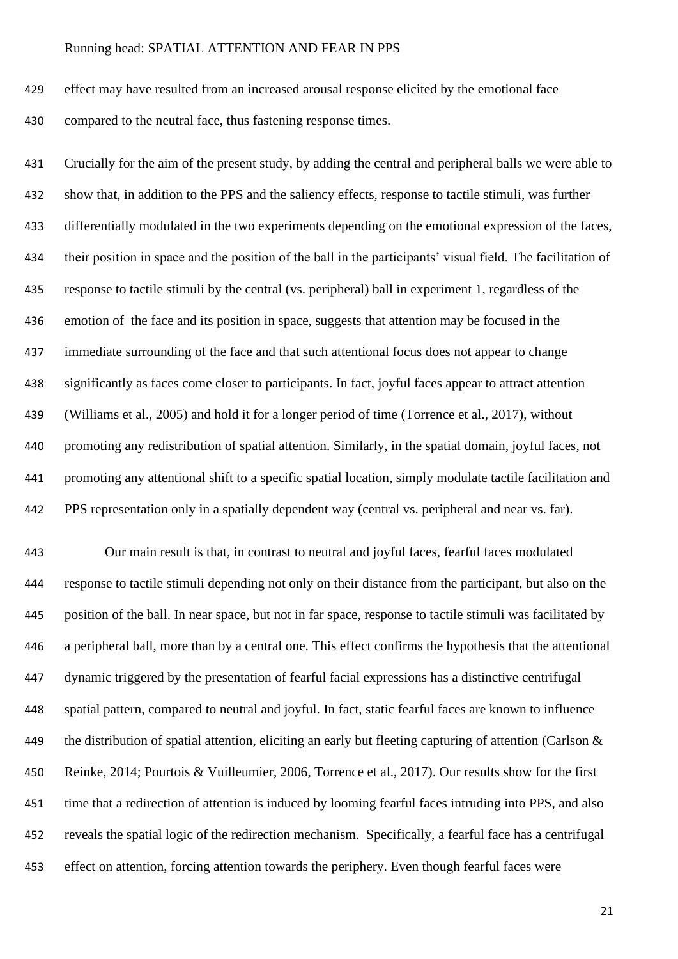effect may have resulted from an increased arousal response elicited by the emotional face compared to the neutral face, thus fastening response times.

 Crucially for the aim of the present study, by adding the central and peripheral balls we were able to show that, in addition to the PPS and the saliency effects, response to tactile stimuli, was further differentially modulated in the two experiments depending on the emotional expression of the faces, their position in space and the position of the ball in the participants' visual field. The facilitation of response to tactile stimuli by the central (vs. peripheral) ball in experiment 1, regardless of the emotion of the face and its position in space, suggests that attention may be focused in the immediate surrounding of the face and that such attentional focus does not appear to change significantly as faces come closer to participants. In fact, joyful faces appear to attract attention (Williams et al., 2005) and hold it for a longer period of time (Torrence et al., 2017), without promoting any redistribution of spatial attention. Similarly, in the spatial domain, joyful faces, not promoting any attentional shift to a specific spatial location, simply modulate tactile facilitation and PPS representation only in a spatially dependent way (central vs. peripheral and near vs. far).

 Our main result is that, in contrast to neutral and joyful faces, fearful faces modulated response to tactile stimuli depending not only on their distance from the participant, but also on the position of the ball. In near space, but not in far space, response to tactile stimuli was facilitated by a peripheral ball, more than by a central one. This effect confirms the hypothesis that the attentional dynamic triggered by the presentation of fearful facial expressions has a distinctive centrifugal spatial pattern, compared to neutral and joyful. In fact, static fearful faces are known to influence the distribution of spatial attention, eliciting an early but fleeting capturing of attention (Carlson & Reinke, 2014; Pourtois & Vuilleumier, 2006, Torrence et al., 2017). Our results show for the first time that a redirection of attention is induced by looming fearful faces intruding into PPS, and also reveals the spatial logic of the redirection mechanism. Specifically, a fearful face has a centrifugal effect on attention, forcing attention towards the periphery. Even though fearful faces were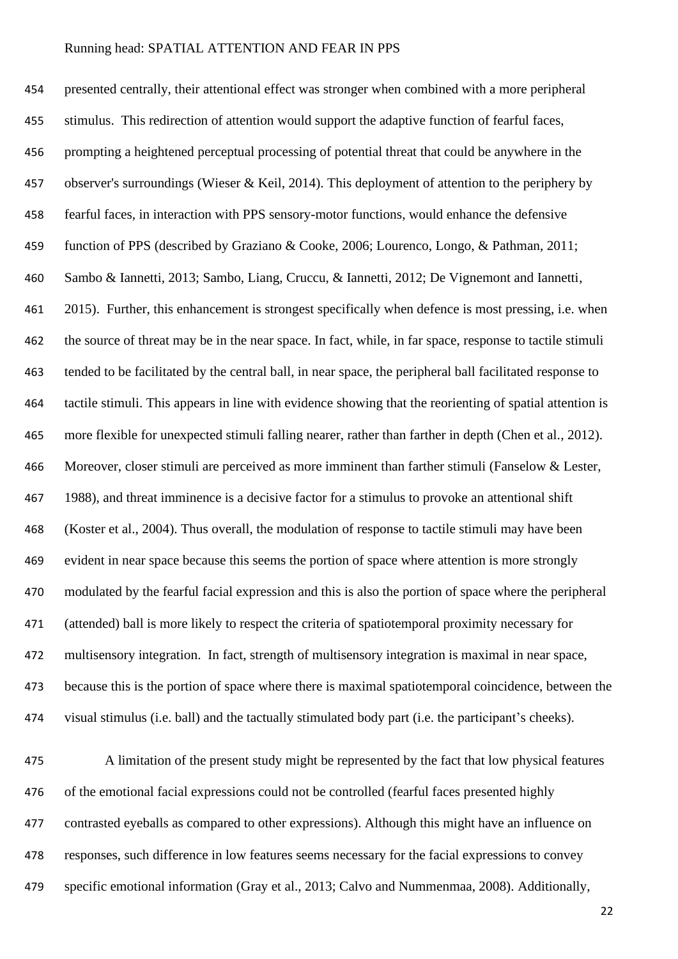presented centrally, their attentional effect was stronger when combined with a more peripheral stimulus. This redirection of attention would support the adaptive function of fearful faces, prompting a heightened perceptual processing of potential threat that could be anywhere in the 457 observer's surroundings (Wieser & Keil, 2014). This deployment of attention to the periphery by fearful faces, in interaction with PPS sensory-motor functions, would enhance the defensive function of PPS (described by Graziano & Cooke, 2006; Lourenco, Longo, & Pathman, 2011; Sambo & Iannetti, 2013; Sambo, Liang, Cruccu, & Iannetti, 2012; De Vignemont and Iannetti, 2015). Further, this enhancement is strongest specifically when defence is most pressing, i.e. when the source of threat may be in the near space. In fact, while, in far space, response to tactile stimuli tended to be facilitated by the central ball, in near space, the peripheral ball facilitated response to tactile stimuli. This appears in line with evidence showing that the reorienting of spatial attention is more flexible for unexpected stimuli falling nearer, rather than farther in depth (Chen et al., 2012). 466 Moreover, closer stimuli are perceived as more imminent than farther stimuli (Fanselow & Lester, 1988), and threat imminence is a decisive factor for a stimulus to provoke an attentional shift (Koster et al., 2004). Thus overall, the modulation of response to tactile stimuli may have been evident in near space because this seems the portion of space where attention is more strongly modulated by the fearful facial expression and this is also the portion of space where the peripheral (attended) ball is more likely to respect the criteria of spatiotemporal proximity necessary for multisensory integration. In fact, strength of multisensory integration is maximal in near space, because this is the portion of space where there is maximal spatiotemporal coincidence, between the visual stimulus (i.e. ball) and the tactually stimulated body part (i.e. the participant's cheeks).

 A limitation of the present study might be represented by the fact that low physical features of the emotional facial expressions could not be controlled (fearful faces presented highly contrasted eyeballs as compared to other expressions). Although this might have an influence on responses, such difference in low features seems necessary for the facial expressions to convey specific emotional information (Gray et al., 2013; Calvo and Nummenmaa, 2008). Additionally,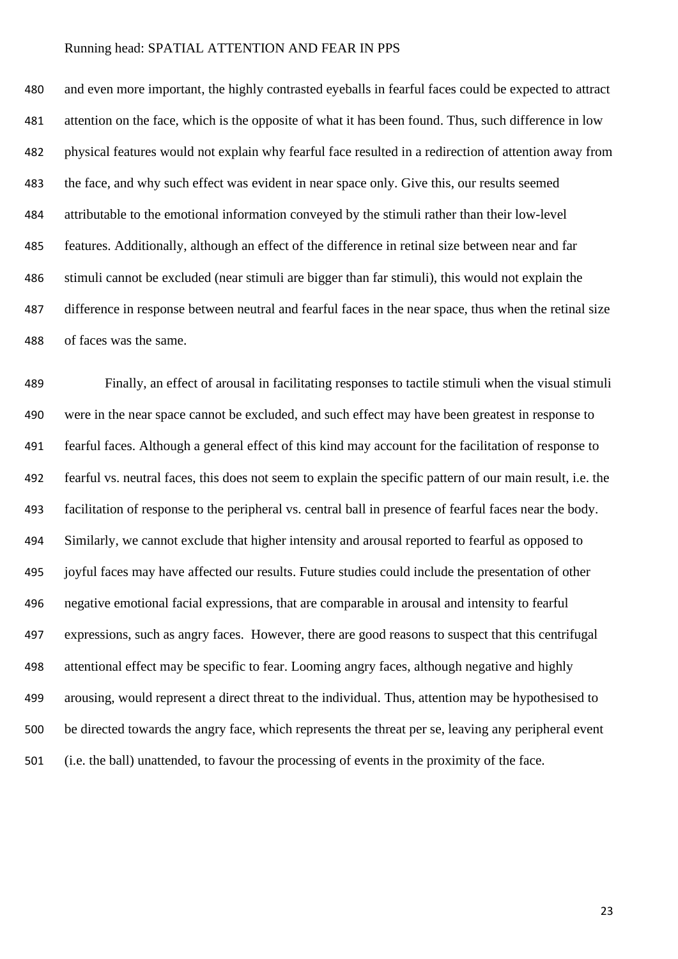and even more important, the highly contrasted eyeballs in fearful faces could be expected to attract attention on the face, which is the opposite of what it has been found. Thus, such difference in low physical features would not explain why fearful face resulted in a redirection of attention away from the face, and why such effect was evident in near space only. Give this, our results seemed attributable to the emotional information conveyed by the stimuli rather than their low-level features. Additionally, although an effect of the difference in retinal size between near and far stimuli cannot be excluded (near stimuli are bigger than far stimuli), this would not explain the difference in response between neutral and fearful faces in the near space, thus when the retinal size of faces was the same.

 Finally, an effect of arousal in facilitating responses to tactile stimuli when the visual stimuli were in the near space cannot be excluded, and such effect may have been greatest in response to fearful faces. Although a general effect of this kind may account for the facilitation of response to fearful vs. neutral faces, this does not seem to explain the specific pattern of our main result, i.e. the facilitation of response to the peripheral vs. central ball in presence of fearful faces near the body. Similarly, we cannot exclude that higher intensity and arousal reported to fearful as opposed to joyful faces may have affected our results. Future studies could include the presentation of other negative emotional facial expressions, that are comparable in arousal and intensity to fearful expressions, such as angry faces. However, there are good reasons to suspect that this centrifugal attentional effect may be specific to fear. Looming angry faces, although negative and highly arousing, would represent a direct threat to the individual. Thus, attention may be hypothesised to be directed towards the angry face, which represents the threat per se, leaving any peripheral event (i.e. the ball) unattended, to favour the processing of events in the proximity of the face.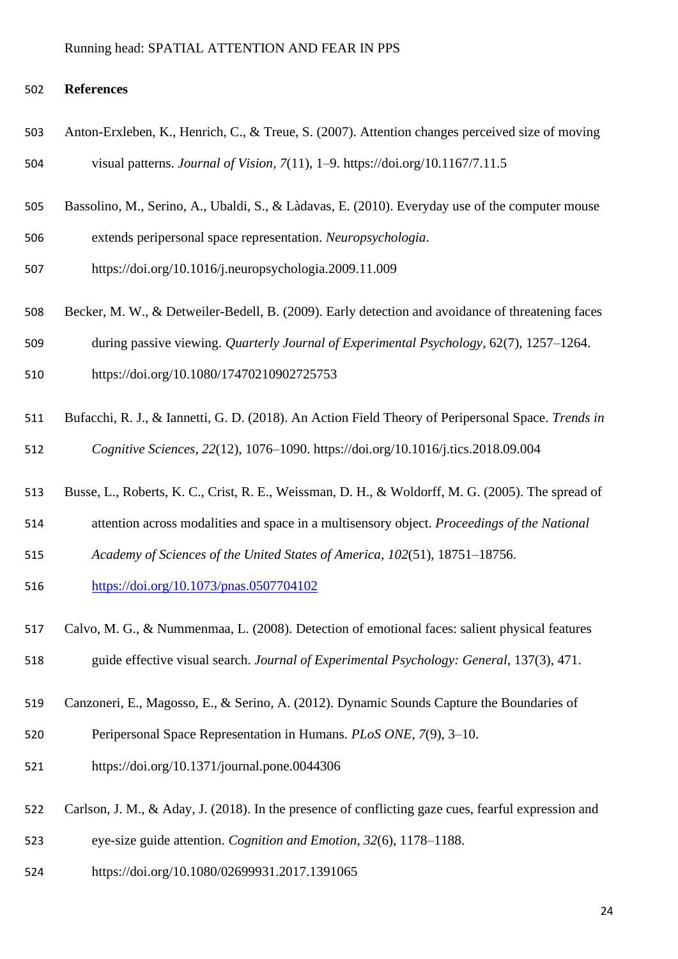# **References**

- Anton-Erxleben, K., Henrich, C., & Treue, S. (2007). Attention changes perceived size of moving visual patterns. *Journal of Vision*, *7*(11), 1–9. https://doi.org/10.1167/7.11.5
- Bassolino, M., Serino, A., Ubaldi, S., & Làdavas, E. (2010). Everyday use of the computer mouse
- extends peripersonal space representation. *Neuropsychologia*.
- https://doi.org/10.1016/j.neuropsychologia.2009.11.009
- Becker, M. W., & Detweiler-Bedell, B. (2009). Early detection and avoidance of threatening faces
- during passive viewing. *Quarterly Journal of Experimental Psychology*, 62(7), 1257–1264.
- <https://doi.org/10.1080/17470210902725753>
- Bufacchi, R. J., & Iannetti, G. D. (2018). An Action Field Theory of Peripersonal Space. *Trends in Cognitive Sciences*, *22*(12), 1076–1090. https://doi.org/10.1016/j.tics.2018.09.004
- Busse, L., Roberts, K. C., Crist, R. E., Weissman, D. H., & Woldorff, M. G. (2005). The spread of
- attention across modalities and space in a multisensory object. *Proceedings of the National*
- *Academy of Sciences of the United States of America*, *102*(51), 18751–18756.
- <https://doi.org/10.1073/pnas.0507704102>
- Calvo, M. G., & Nummenmaa, L. (2008). Detection of emotional faces: salient physical features
- guide effective visual search. *Journal of Experimental Psychology: General*, 137(3), 471.
- Canzoneri, E., Magosso, E., & Serino, A. (2012). Dynamic Sounds Capture the Boundaries of
- Peripersonal Space Representation in Humans. *PLoS ONE*, *7*(9), 3–10.
- https://doi.org/10.1371/journal.pone.0044306
- Carlson, J. M., & Aday, J. (2018). In the presence of conflicting gaze cues, fearful expression and
- eye-size guide attention. *Cognition and Emotion*, *32*(6), 1178–1188.
- https://doi.org/10.1080/02699931.2017.1391065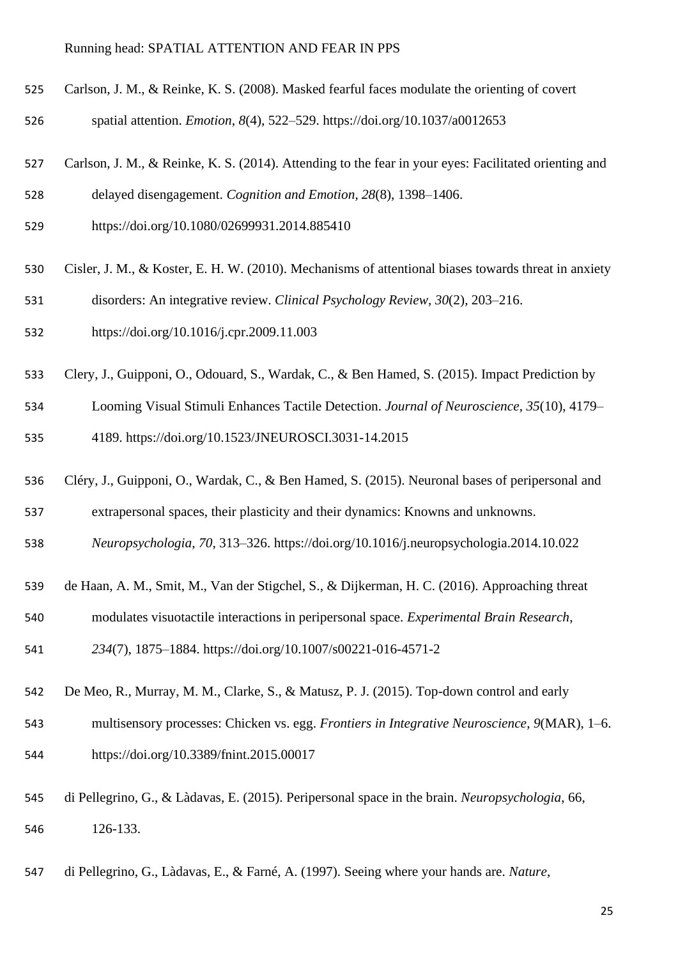- Carlson, J. M., & Reinke, K. S. (2008). Masked fearful faces modulate the orienting of covert spatial attention. *Emotion*, *8*(4), 522–529. https://doi.org/10.1037/a0012653
- Carlson, J. M., & Reinke, K. S. (2014). Attending to the fear in your eyes: Facilitated orienting and delayed disengagement. *Cognition and Emotion*, *28*(8), 1398–1406.
- https://doi.org/10.1080/02699931.2014.885410
- Cisler, J. M., & Koster, E. H. W. (2010). Mechanisms of attentional biases towards threat in anxiety
- disorders: An integrative review. *Clinical Psychology Review*, *30*(2), 203–216.
- https://doi.org/10.1016/j.cpr.2009.11.003
- Clery, J., Guipponi, O., Odouard, S., Wardak, C., & Ben Hamed, S. (2015). Impact Prediction by
- Looming Visual Stimuli Enhances Tactile Detection. *Journal of Neuroscience*, *35*(10), 4179– 4189. https://doi.org/10.1523/JNEUROSCI.3031-14.2015
- Cléry, J., Guipponi, O., Wardak, C., & Ben Hamed, S. (2015). Neuronal bases of peripersonal and
- extrapersonal spaces, their plasticity and their dynamics: Knowns and unknowns.
- *Neuropsychologia*, *70*, 313–326. https://doi.org/10.1016/j.neuropsychologia.2014.10.022
- de Haan, A. M., Smit, M., Van der Stigchel, S., & Dijkerman, H. C. (2016). Approaching threat
- modulates visuotactile interactions in peripersonal space. *Experimental Brain Research*,
- *234*(7), 1875–1884. https://doi.org/10.1007/s00221-016-4571-2
- De Meo, R., Murray, M. M., Clarke, S., & Matusz, P. J. (2015). Top-down control and early
- multisensory processes: Chicken vs. egg. *Frontiers in Integrative Neuroscience*, *9*(MAR), 1–6. https://doi.org/10.3389/fnint.2015.00017
- di Pellegrino, G., & Làdavas, E. (2015). Peripersonal space in the brain. *Neuropsychologia*, 66, 126-133.
- di Pellegrino, G., Làdavas, E., & Farné, A. (1997). Seeing where your hands are. *Nature*,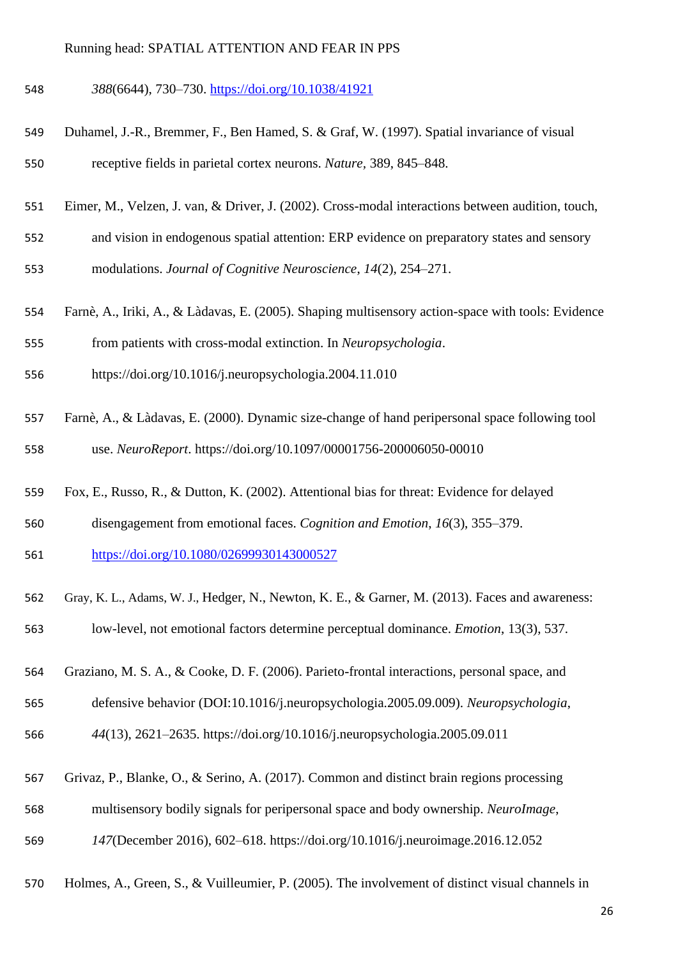*388*(6644), 730–730.<https://doi.org/10.1038/41921>

- Duhamel, J.-R., Bremmer, F., Ben Hamed, S. & Graf, W. (1997). Spatial invariance of visual receptive fields in parietal cortex neurons. *Nature,* 389, 845–848.
- Eimer, M., Velzen, J. van, & Driver, J. (2002). Cross-modal interactions between audition, touch,
- and vision in endogenous spatial attention: ERP evidence on preparatory states and sensory

modulations. *Journal of Cognitive Neuroscience*, *14*(2), 254–271.

Farnè, A., Iriki, A., & Làdavas, E. (2005). Shaping multisensory action-space with tools: Evidence

from patients with cross-modal extinction. In *Neuropsychologia*.

- https://doi.org/10.1016/j.neuropsychologia.2004.11.010
- Farnè, A., & Làdavas, E. (2000). Dynamic size-change of hand peripersonal space following tool use. *NeuroReport*. https://doi.org/10.1097/00001756-200006050-00010
- Fox, E., Russo, R., & Dutton, K. (2002). Attentional bias for threat: Evidence for delayed
- disengagement from emotional faces. *Cognition and Emotion*, *16*(3), 355–379.

<https://doi.org/10.1080/02699930143000527>

- Gray, K. L., Adams, W. J., Hedger, N., Newton, K. E., & Garner, M. (2013). Faces and awareness: low-level, not emotional factors determine perceptual dominance. *Emotion*, 13(3), 537.
- Graziano, M. S. A., & Cooke, D. F. (2006). Parieto-frontal interactions, personal space, and

defensive behavior (DOI:10.1016/j.neuropsychologia.2005.09.009). *Neuropsychologia*,

*44*(13), 2621–2635. https://doi.org/10.1016/j.neuropsychologia.2005.09.011

- Grivaz, P., Blanke, O., & Serino, A. (2017). Common and distinct brain regions processing
- multisensory bodily signals for peripersonal space and body ownership. *NeuroImage*,

*147*(December 2016), 602–618. https://doi.org/10.1016/j.neuroimage.2016.12.052

Holmes, A., Green, S., & Vuilleumier, P. (2005). The involvement of distinct visual channels in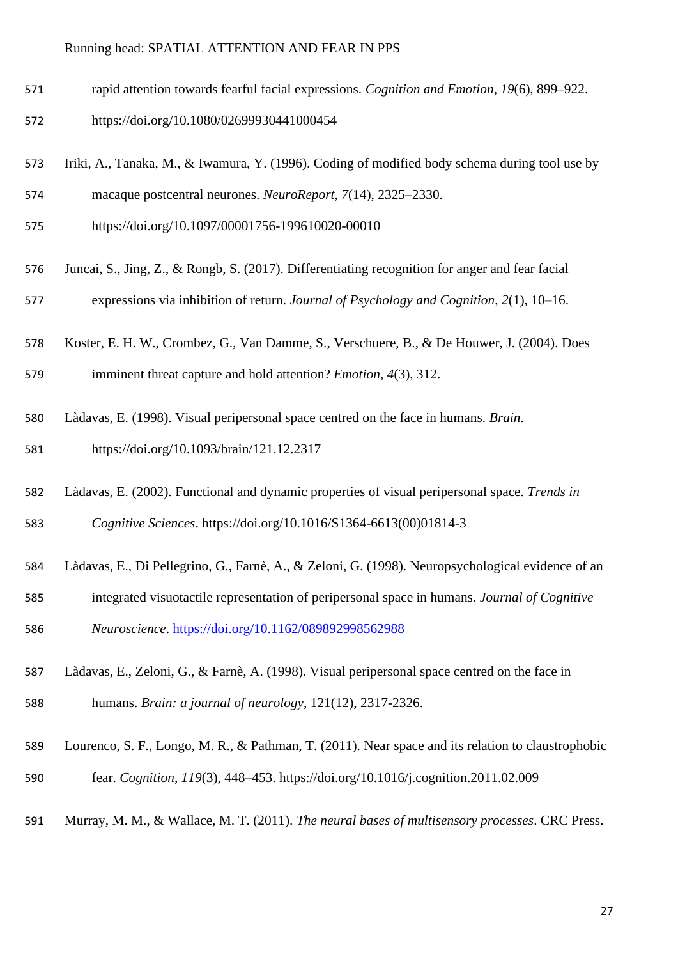- rapid attention towards fearful facial expressions. *Cognition and Emotion*, *19*(6), 899–922.
- https://doi.org/10.1080/02699930441000454
- Iriki, A., Tanaka, M., & Iwamura, Y. (1996). Coding of modified body schema during tool use by macaque postcentral neurones. *NeuroReport*, *7*(14), 2325–2330.
- https://doi.org/10.1097/00001756-199610020-00010
- Juncai, S., Jing, Z., & Rongb, S. (2017). Differentiating recognition for anger and fear facial expressions via inhibition of return. *Journal of Psychology and Cognition*, *2*(1), 10–16.
- Koster, E. H. W., Crombez, G., Van Damme, S., Verschuere, B., & De Houwer, J. (2004). Does

imminent threat capture and hold attention? *Emotion*, *4*(3), 312.

Làdavas, E. (1998). Visual peripersonal space centred on the face in humans. *Brain*.

https://doi.org/10.1093/brain/121.12.2317

Làdavas, E. (2002). Functional and dynamic properties of visual peripersonal space. *Trends in* 

*Cognitive Sciences*. https://doi.org/10.1016/S1364-6613(00)01814-3

- Làdavas, E., Di Pellegrino, G., Farnè, A., & Zeloni, G. (1998). Neuropsychological evidence of an
- integrated visuotactile representation of peripersonal space in humans. *Journal of Cognitive*

*Neuroscience*.<https://doi.org/10.1162/089892998562988>

- Làdavas, E., Zeloni, G., & Farnè, A. (1998). Visual peripersonal space centred on the face in humans. *Brain: a journal of neurology*, 121(12), 2317-2326.
- Lourenco, S. F., Longo, M. R., & Pathman, T. (2011). Near space and its relation to claustrophobic fear. *Cognition*, *119*(3), 448–453. https://doi.org/10.1016/j.cognition.2011.02.009
- Murray, M. M., & Wallace, M. T. (2011). *The neural bases of multisensory processes*. CRC Press.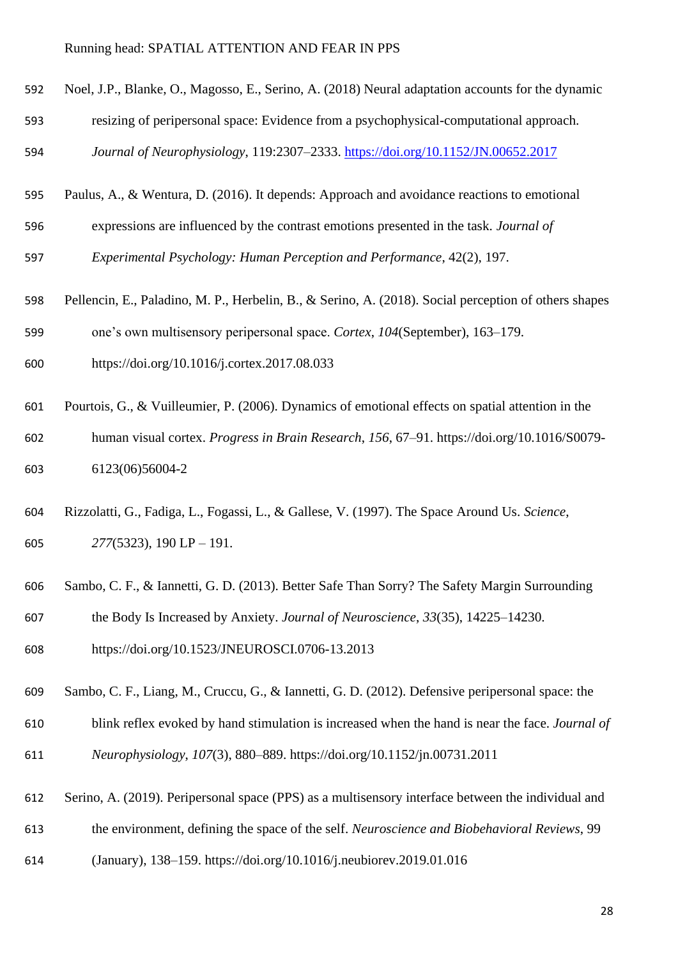- Noel, J.P., Blanke, O., Magosso, E., Serino, A. (2018) Neural adaptation accounts for the dynamic
- resizing of peripersonal space: Evidence from a psychophysical-computational approach.

*Journal of Neurophysiology*, 119:2307–2333.<https://doi.org/10.1152/JN.00652.2017>

- Paulus, A., & Wentura, D. (2016). It depends: Approach and avoidance reactions to emotional
- expressions are influenced by the contrast emotions presented in the task. *Journal of Experimental Psychology: Human Perception and Performance*, 42(2), 197.
- Pellencin, E., Paladino, M. P., Herbelin, B., & Serino, A. (2018). Social perception of others shapes
- one's own multisensory peripersonal space. *Cortex*, *104*(September), 163–179.
- https://doi.org/10.1016/j.cortex.2017.08.033
- Pourtois, G., & Vuilleumier, P. (2006). Dynamics of emotional effects on spatial attention in the human visual cortex. *Progress in Brain Research*, *156*, 67–91. https://doi.org/10.1016/S0079- 6123(06)56004-2
- Rizzolatti, G., Fadiga, L., Fogassi, L., & Gallese, V. (1997). The Space Around Us. *Science*, *277*(5323), 190 LP – 191.
- Sambo, C. F., & Iannetti, G. D. (2013). Better Safe Than Sorry? The Safety Margin Surrounding the Body Is Increased by Anxiety. *Journal of Neuroscience*, *33*(35), 14225–14230.
- https://doi.org/10.1523/JNEUROSCI.0706-13.2013
- Sambo, C. F., Liang, M., Cruccu, G., & Iannetti, G. D. (2012). Defensive peripersonal space: the
- blink reflex evoked by hand stimulation is increased when the hand is near the face. *Journal of Neurophysiology*, *107*(3), 880–889. https://doi.org/10.1152/jn.00731.2011
- Serino, A. (2019). Peripersonal space (PPS) as a multisensory interface between the individual and
- the environment, defining the space of the self. *Neuroscience and Biobehavioral Reviews*, 99
- (January), 138–159. https://doi.org/10.1016/j.neubiorev.2019.01.016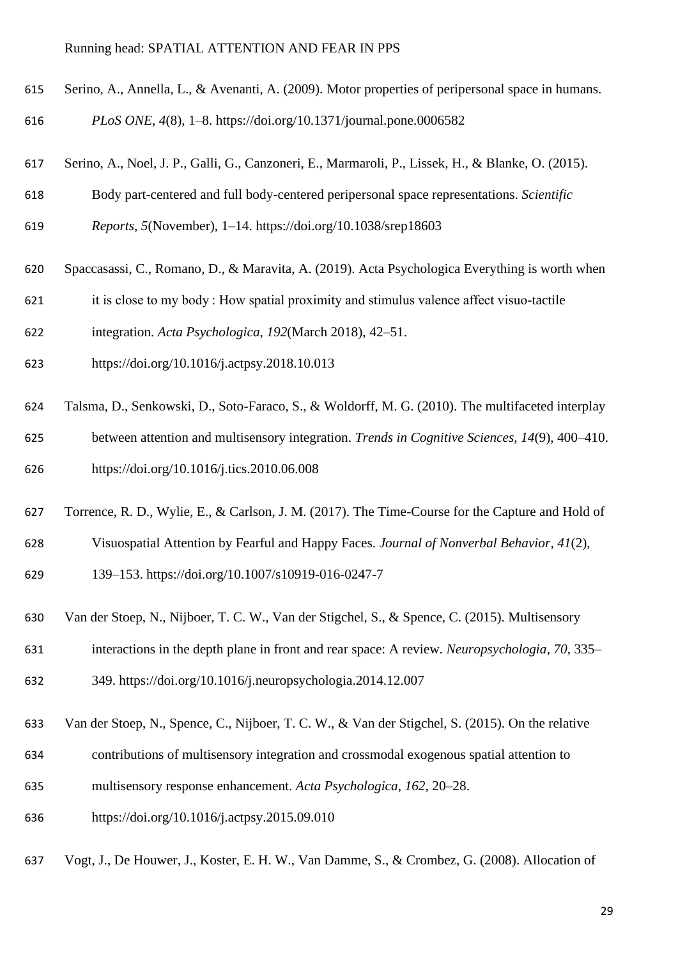- Serino, A., Annella, L., & Avenanti, A. (2009). Motor properties of peripersonal space in humans.
- *PLoS ONE*, *4*(8), 1–8. https://doi.org/10.1371/journal.pone.0006582
- Serino, A., Noel, J. P., Galli, G., Canzoneri, E., Marmaroli, P., Lissek, H., & Blanke, O. (2015).
- Body part-centered and full body-centered peripersonal space representations. *Scientific*
- *Reports*, *5*(November), 1–14. https://doi.org/10.1038/srep18603
- Spaccasassi, C., Romano, D., & Maravita, A. (2019). Acta Psychologica Everything is worth when
- it is close to my body : How spatial proximity and stimulus valence affect visuo-tactile
- integration. *Acta Psychologica*, *192*(March 2018), 42–51.
- https://doi.org/10.1016/j.actpsy.2018.10.013
- Talsma, D., Senkowski, D., Soto-Faraco, S., & Woldorff, M. G. (2010). The multifaceted interplay between attention and multisensory integration. *Trends in Cognitive Sciences*, *14*(9), 400–410.

https://doi.org/10.1016/j.tics.2010.06.008

- Torrence, R. D., Wylie, E., & Carlson, J. M. (2017). The Time-Course for the Capture and Hold of Visuospatial Attention by Fearful and Happy Faces. *Journal of Nonverbal Behavior*, *41*(2), 139–153. https://doi.org/10.1007/s10919-016-0247-7
- Van der Stoep, N., Nijboer, T. C. W., Van der Stigchel, S., & Spence, C. (2015). Multisensory
- interactions in the depth plane in front and rear space: A review. *Neuropsychologia*, *70*, 335–

349. https://doi.org/10.1016/j.neuropsychologia.2014.12.007

- Van der Stoep, N., Spence, C., Nijboer, T. C. W., & Van der Stigchel, S. (2015). On the relative
- contributions of multisensory integration and crossmodal exogenous spatial attention to
- multisensory response enhancement. *Acta Psychologica*, *162*, 20–28.
- https://doi.org/10.1016/j.actpsy.2015.09.010
- Vogt, J., De Houwer, J., Koster, E. H. W., Van Damme, S., & Crombez, G. (2008). Allocation of